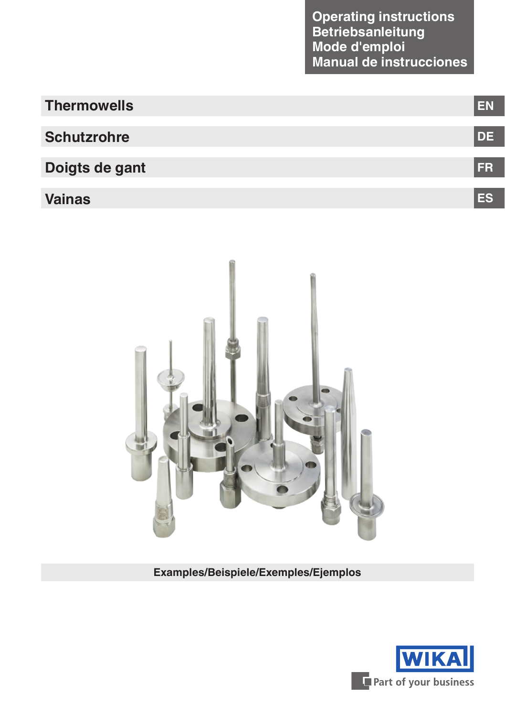| <b>Thermowells</b> | EN         |
|--------------------|------------|
|                    |            |
| <b>Schutzrohre</b> | <b>IDE</b> |
| Doigts de gant     | <b>FR</b>  |
|                    |            |
| <b>Vainas</b>      | ES         |



**Examples/Beispiele/Exemples/Ejemplos**

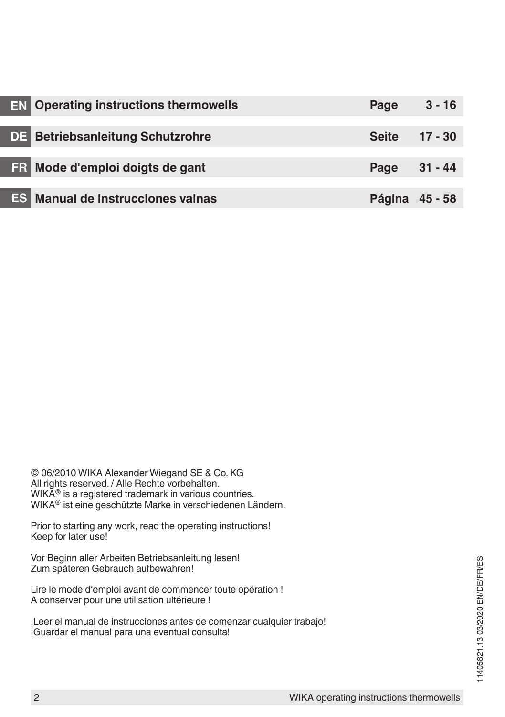| <b>EN</b> Operating instructions thermowells | Page           | $3 - 16$ |
|----------------------------------------------|----------------|----------|
|                                              |                |          |
| <b>DE</b> Betriebsanleitung Schutzrohre      | Seite 17 - 30  |          |
|                                              |                |          |
| <b>FR</b> Mode d'emploi doigts de gant       | Page 31 - 44   |          |
|                                              |                |          |
| <b>ES</b> Manual de instrucciones vainas     | Página 45 - 58 |          |

© 06/2010 WIKA Alexander Wiegand SE & Co. KG All rights reserved. / Alle Rechte vorbehalten. WIKA<sup>®</sup> is a registered trademark in various countries. WIKA® ist eine geschützte Marke in verschiedenen Ländern.

Prior to starting any work, read the operating instructions! Keep for later use!

Vor Beginn aller Arbeiten Betriebsanleitung lesen! Zum späteren Gebrauch aufbewahren!

Lire le mode d'emploi avant de commencer toute opération ! A conserver pour une utilisation ultérieure !

¡Leer el manual de instrucciones antes de comenzar cualquier trabajo! ¡Guardar el manual para una eventual consulta!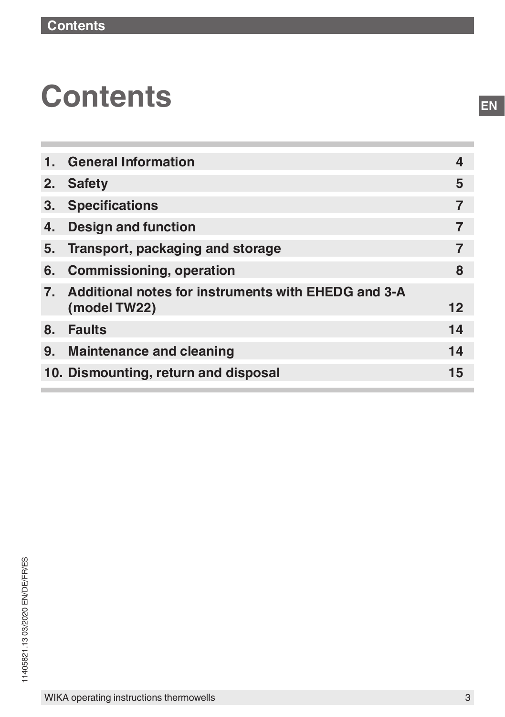# **Contents**

| 1. | <b>General Information</b>                             | 4  |
|----|--------------------------------------------------------|----|
| 2. | <b>Safety</b>                                          | 5  |
| 3. | <b>Specifications</b>                                  |    |
| 4. | <b>Design and function</b>                             |    |
| 5. | Transport, packaging and storage                       |    |
| 6. | <b>Commissioning, operation</b>                        | 8  |
|    | 7. Additional notes for instruments with EHEDG and 3-A |    |
|    | (model TW22)                                           | 12 |
| 8. | <b>Faults</b>                                          | 14 |
| 9. | <b>Maintenance and cleaning</b>                        | 14 |
|    | 10. Dismounting, return and disposal                   | 15 |
|    |                                                        |    |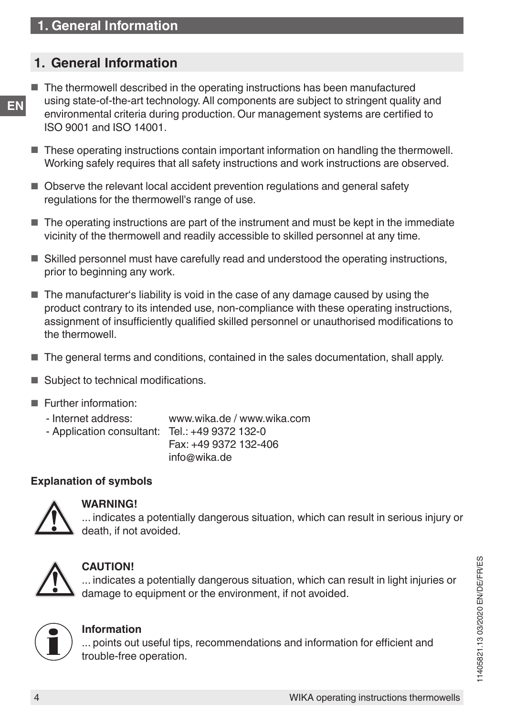## <span id="page-3-0"></span>**1. General Information**

- **EN** ■ The thermowell described in the operating instructions has been manufactured using state-of-the-art technology. All components are subject to stringent quality and environmental criteria during production. Our management systems are certified to ISO 9001 and ISO 14001.
	- These operating instructions contain important information on handling the thermowell. Working safely requires that all safety instructions and work instructions are observed.
	- Observe the relevant local accident prevention regulations and general safety regulations for the thermowell's range of use.
	- The operating instructions are part of the instrument and must be kept in the immediate vicinity of the thermowell and readily accessible to skilled personnel at any time.
	- Skilled personnel must have carefully read and understood the operating instructions, prior to beginning any work.
	- The manufacturer's liability is void in the case of any damage caused by using the product contrary to its intended use, non-compliance with these operating instructions, assignment of insufficiently qualified skilled personnel or unauthorised modifications to the thermowell.
	- The general terms and conditions, contained in the sales documentation, shall apply.
	- Subject to technical modifications.
	- Further information:
		- Internet address: www.wika.de / www.wika.com
		- Application consultant: Tel.: +49 9372 132-0

Fax: +49 9372 132-406 info@wika.de

#### **Explanation of symbols**



#### **WARNING!**

... indicates a potentially dangerous situation, which can result in serious injury or death, if not avoided.



#### **CAUTION!**

... indicates a potentially dangerous situation, which can result in light injuries or damage to equipment or the environment, if not avoided.



#### **Information**

... points out useful tips, recommendations and information for efficient and trouble-free operation.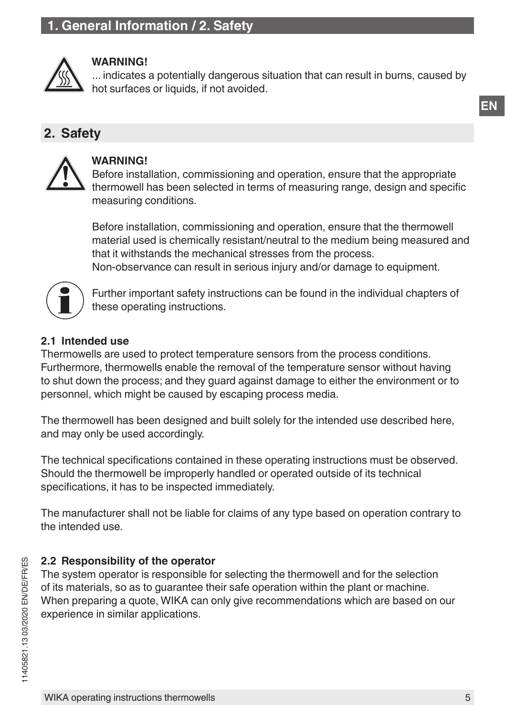## <span id="page-4-0"></span>**1. General Information / 2. Safety**



#### **WARNING!**

... indicates a potentially dangerous situation that can result in burns, caused by hot surfaces or liquids, if not avoided.

## **2. Safety**



#### **WARNING!**

Before installation, commissioning and operation, ensure that the appropriate thermowell has been selected in terms of measuring range, design and specific measuring conditions.

Before installation, commissioning and operation, ensure that the thermowell material used is chemically resistant/neutral to the medium being measured and that it withstands the mechanical stresses from the process. Non-observance can result in serious injury and/or damage to equipment.



Further important safety instructions can be found in the individual chapters of these operating instructions.

#### **2.1 Intended use**

Thermowells are used to protect temperature sensors from the process conditions. Furthermore, thermowells enable the removal of the temperature sensor without having to shut down the process; and they guard against damage to either the environment or to personnel, which might be caused by escaping process media.

The thermowell has been designed and built solely for the intended use described here, and may only be used accordingly.

The technical specifications contained in these operating instructions must be observed. Should the thermowell be improperly handled or operated outside of its technical specifications, it has to be inspected immediately.

The manufacturer shall not be liable for claims of any type based on operation contrary to the intended use.

#### **2.2 Responsibility of the operator**

The system operator is responsible for selecting the thermowell and for the selection of its materials, so as to guarantee their safe operation within the plant or machine. When preparing a quote, WIKA can only give recommendations which are based on our experience in similar applications.

**EN**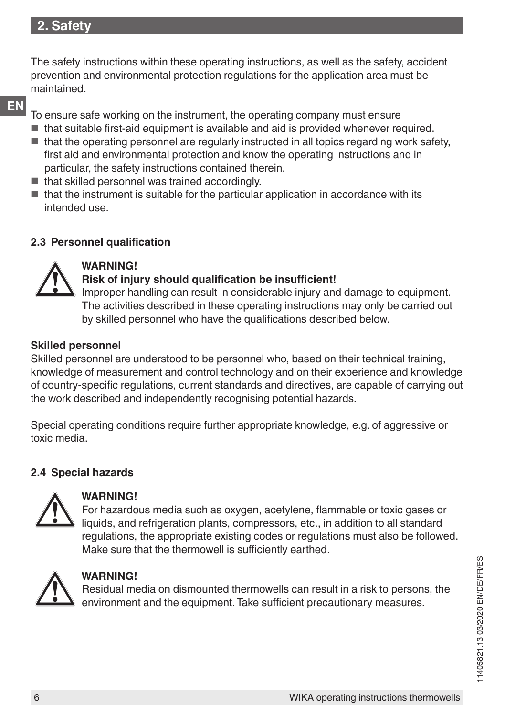## **2. Safety**

The safety instructions within these operating instructions, as well as the safety, accident prevention and environmental protection regulations for the application area must be maintained.

**EN**

To ensure safe working on the instrument, the operating company must ensure

- that suitable first-aid equipment is available and aid is provided whenever required.
- that the operating personnel are regularly instructed in all topics regarding work safety, first aid and environmental protection and know the operating instructions and in particular, the safety instructions contained therein.
- that skilled personnel was trained accordingly.
- $\blacksquare$  that the instrument is suitable for the particular application in accordance with its intended use.

#### **2.3 Personnel qualification**



#### **WARNING!**

#### **Risk of injury should qualification be insufficient!**

Improper handling can result in considerable injury and damage to equipment. The activities described in these operating instructions may only be carried out by skilled personnel who have the qualifications described below.

#### **Skilled personnel**

Skilled personnel are understood to be personnel who, based on their technical training, knowledge of measurement and control technology and on their experience and knowledge of country-specific regulations, current standards and directives, are capable of carrying out the work described and independently recognising potential hazards.

Special operating conditions require further appropriate knowledge, e.g. of aggressive or toxic media.

#### **2.4 Special hazards**



#### **WARNING!**

For hazardous media such as oxygen, acetylene, flammable or toxic gases or liquids, and refrigeration plants, compressors, etc., in addition to all standard regulations, the appropriate existing codes or regulations must also be followed. Make sure that the thermowell is sufficiently earthed.



#### **WARNING!**

Residual media on dismounted thermowells can result in a risk to persons, the environment and the equipment. Take sufficient precautionary measures.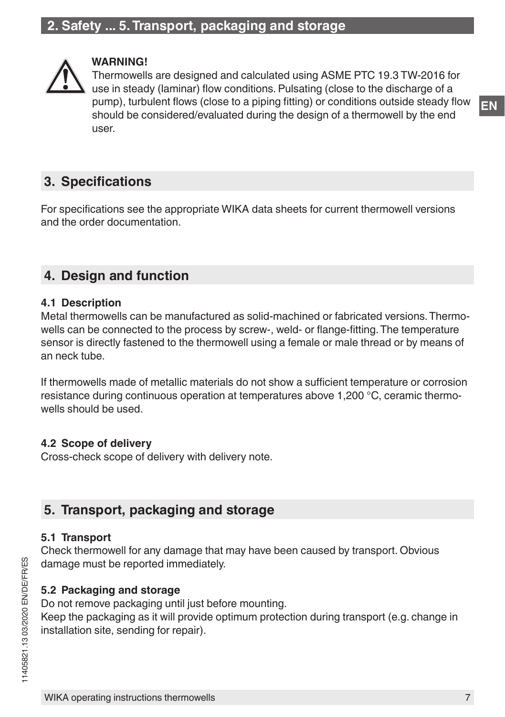## <span id="page-6-0"></span>**2. Safety ... 5. Transport, packaging and storage**



#### **WARNING!**

Thermowells are designed and calculated using ASME PTC 19.3 TW-2016 for use in steady (laminar) flow conditions. Pulsating (close to the discharge of a pump), turbulent flows (close to a piping fitting) or conditions outside steady flow should be considered/evaluated during the design of a thermowell by the end user.

## **3. Specifications**

For specifications see the appropriate WIKA data sheets for current thermowell versions and the order documentation.

## **4. Design and function**

#### **4.1 Description**

Metal thermowells can be manufactured as solid-machined or fabricated versions. Thermowells can be connected to the process by screw-, weld- or flange-fitting. The temperature sensor is directly fastened to the thermowell using a female or male thread or by means of an neck tube.

If thermowells made of metallic materials do not show a sufficient temperature or corrosion resistance during continuous operation at temperatures above 1,200 °C, ceramic thermowells should be used.

#### **4.2 Scope of delivery**

Cross-check scope of delivery with delivery note.

## **5. Transport, packaging and storage**

#### **5.1 Transport**

Check thermowell for any damage that may have been caused by transport. Obvious damage must be reported immediately.

#### **5.2 Packaging and storage**

Do not remove packaging until just before mounting.

Keep the packaging as it will provide optimum protection during transport (e.g. change in installation site, sending for repair).

**EN**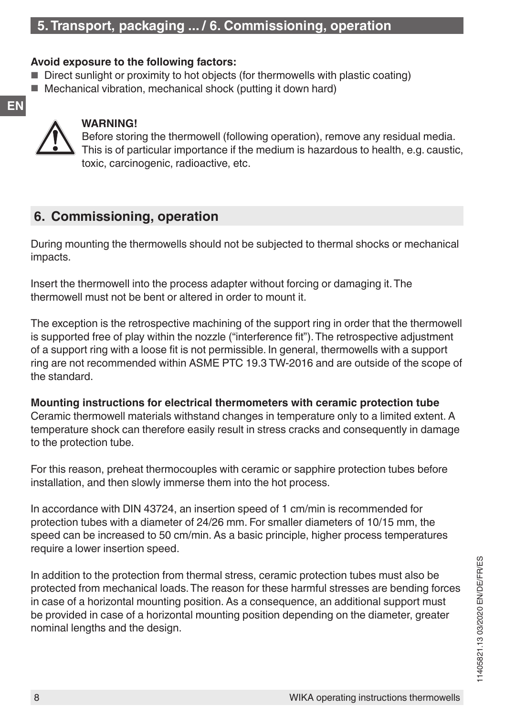#### <span id="page-7-0"></span>**Avoid exposure to the following factors:**

- Direct sunlight or proximity to hot objects (for thermowells with plastic coating)
- Mechanical vibration, mechanical shock (putting it down hard)



**EN**

#### **WARNING!**

Before storing the thermowell (following operation), remove any residual media. This is of particular importance if the medium is hazardous to health, e.g. caustic, toxic, carcinogenic, radioactive, etc.

## **6. Commissioning, operation**

During mounting the thermowells should not be subjected to thermal shocks or mechanical impacts.

Insert the thermowell into the process adapter without forcing or damaging it. The thermowell must not be bent or altered in order to mount it.

The exception is the retrospective machining of the support ring in order that the thermowell is supported free of play within the nozzle ("interference fit"). The retrospective adjustment of a support ring with a loose fit is not permissible. In general, thermowells with a support ring are not recommended within ASME PTC 19.3 TW-2016 and are outside of the scope of the standard.

**Mounting instructions for electrical thermometers with ceramic protection tube** Ceramic thermowell materials withstand changes in temperature only to a limited extent. A temperature shock can therefore easily result in stress cracks and consequently in damage to the protection tube.

For this reason, preheat thermocouples with ceramic or sapphire protection tubes before installation, and then slowly immerse them into the hot process.

In accordance with DIN 43724, an insertion speed of 1 cm/min is recommended for protection tubes with a diameter of 24/26 mm. For smaller diameters of 10/15 mm, the speed can be increased to 50 cm/min. As a basic principle, higher process temperatures require a lower insertion speed.

In addition to the protection from thermal stress, ceramic protection tubes must also be protected from mechanical loads. The reason for these harmful stresses are bending forces in case of a horizontal mounting position. As a consequence, an additional support must be provided in case of a horizontal mounting position depending on the diameter, greater nominal lengths and the design.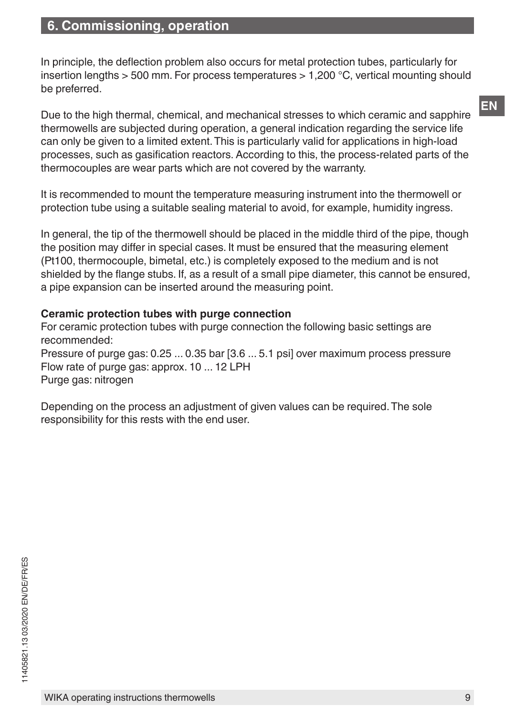In principle, the deflection problem also occurs for metal protection tubes, particularly for insertion lengths > 500 mm. For process temperatures > 1,200 °C, vertical mounting should be preferred.

Due to the high thermal, chemical, and mechanical stresses to which ceramic and sapphire thermowells are subjected during operation, a general indication regarding the service life can only be given to a limited extent. This is particularly valid for applications in high-load processes, such as gasification reactors. According to this, the process-related parts of the thermocouples are wear parts which are not covered by the warranty.

It is recommended to mount the temperature measuring instrument into the thermowell or protection tube using a suitable sealing material to avoid, for example, humidity ingress.

In general, the tip of the thermowell should be placed in the middle third of the pipe, though the position may differ in special cases. It must be ensured that the measuring element (Pt100, thermocouple, bimetal, etc.) is completely exposed to the medium and is not shielded by the flange stubs. If, as a result of a small pipe diameter, this cannot be ensured, a pipe expansion can be inserted around the measuring point.

#### **Ceramic protection tubes with purge connection**

For ceramic protection tubes with purge connection the following basic settings are recommended: Pressure of purge gas: 0.25 ... 0.35 bar [3.6 ... 5.1 psi] over maximum process pressure Flow rate of purge gas: approx. 10 ... 12 LPH Purge gas: nitrogen

Depending on the process an adjustment of given values can be required. The sole responsibility for this rests with the end user.

**EN**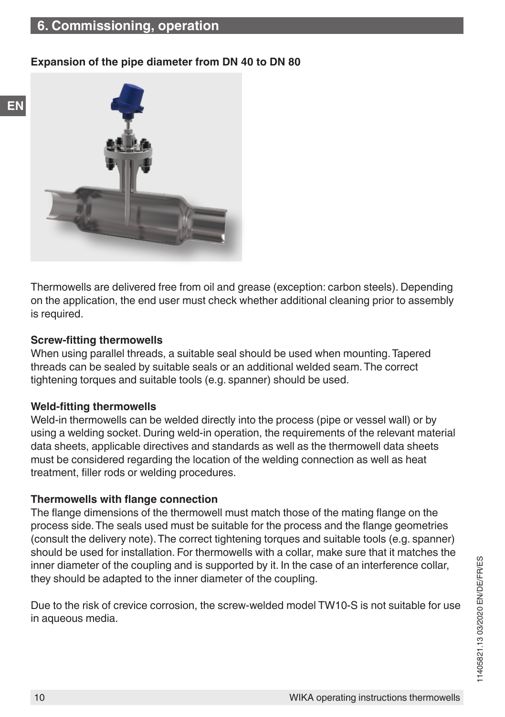#### **Expansion of the pipe diameter from DN 40 to DN 80**



Thermowells are delivered free from oil and grease (exception: carbon steels). Depending on the application, the end user must check whether additional cleaning prior to assembly is required.

#### **Screw-fitting thermowells**

**EN**

When using parallel threads, a suitable seal should be used when mounting. Tapered threads can be sealed by suitable seals or an additional welded seam. The correct tightening torques and suitable tools (e.g. spanner) should be used.

#### **Weld-fitting thermowells**

Weld-in thermowells can be welded directly into the process (pipe or vessel wall) or by using a welding socket. During weld-in operation, the requirements of the relevant material data sheets, applicable directives and standards as well as the thermowell data sheets must be considered regarding the location of the welding connection as well as heat treatment, filler rods or welding procedures.

#### **Thermowells with flange connection**

The flange dimensions of the thermowell must match those of the mating flange on the process side. The seals used must be suitable for the process and the flange geometries (consult the delivery note). The correct tightening torques and suitable tools (e.g. spanner) should be used for installation. For thermowells with a collar, make sure that it matches the inner diameter of the coupling and is supported by it. In the case of an interference collar, they should be adapted to the inner diameter of the coupling.

Due to the risk of crevice corrosion, the screw-welded model TW10-S is not suitable for use in aqueous media.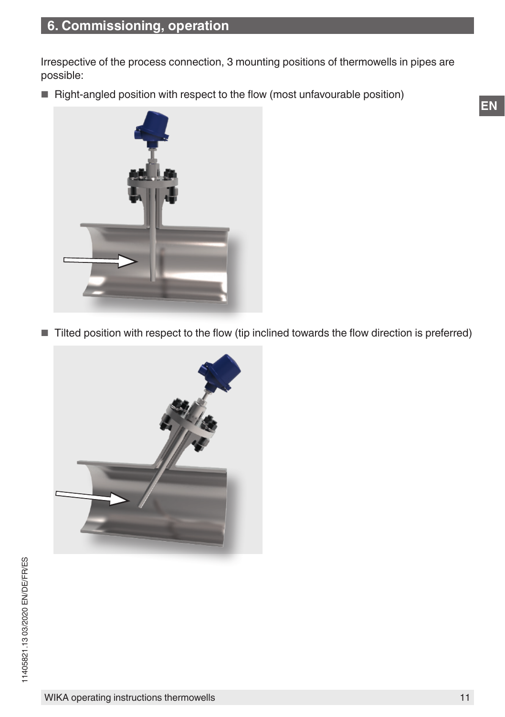Irrespective of the process connection, 3 mounting positions of thermowells in pipes are possible:

■ Right-angled position with respect to the flow (most unfavourable position)



■ Tilted position with respect to the flow (tip inclined towards the flow direction is preferred)

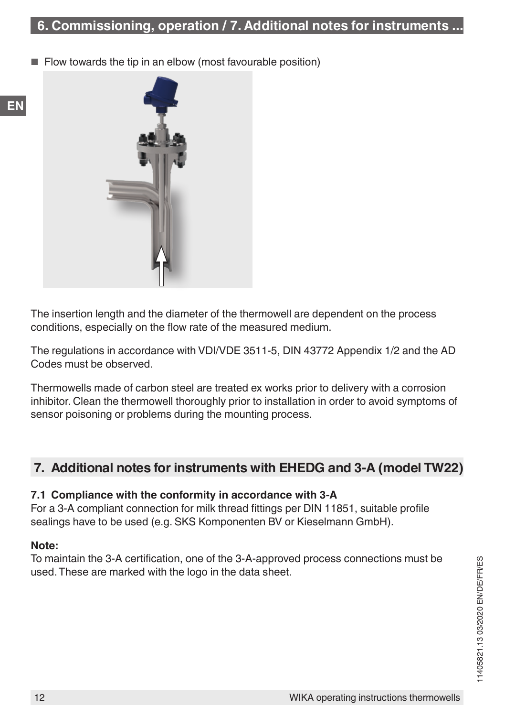<span id="page-11-0"></span>Flow towards the tip in an elbow (most favourable position)



The insertion length and the diameter of the thermowell are dependent on the process conditions, especially on the flow rate of the measured medium.

The regulations in accordance with VDI/VDE 3511-5, DIN 43772 Appendix 1/2 and the AD Codes must be observed.

Thermowells made of carbon steel are treated ex works prior to delivery with a corrosion inhibitor. Clean the thermowell thoroughly prior to installation in order to avoid symptoms of sensor poisoning or problems during the mounting process.

## **7. Additional notes for instruments with EHEDG and 3-A (model TW22)**

#### **7.1 Compliance with the conformity in accordance with 3-A**

For a 3-A compliant connection for milk thread fittings per DIN 11851, suitable profile sealings have to be used (e.g. SKS Komponenten BV or Kieselmann GmbH).

#### **Note:**

To maintain the 3-A certification, one of the 3-A-approved process connections must be used. These are marked with the logo in the data sheet.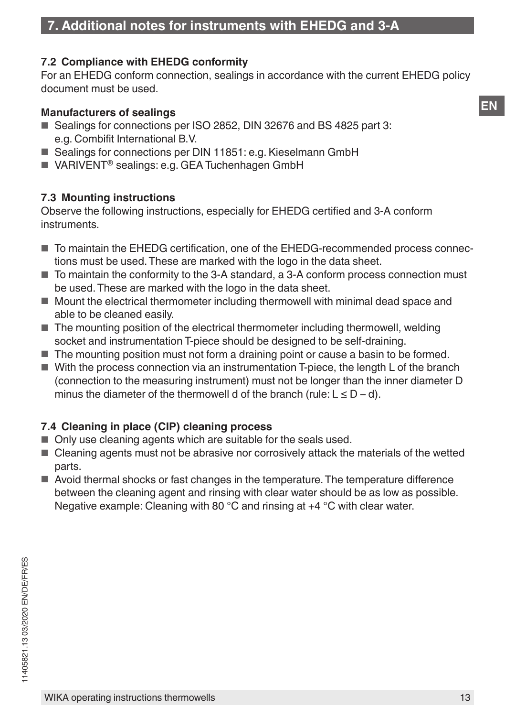#### **7.2 Compliance with EHEDG conformity**

For an EHEDG conform connection, sealings in accordance with the current EHEDG policy document must be used.

#### **Manufacturers of sealings**

- Sealings for connections per ISO 2852, DIN 32676 and BS 4825 part 3: e.g. Combifit International B.V.
- Sealings for connections per DIN 11851: e.g. Kieselmann GmbH
- VARIVENT<sup>®</sup> sealings: e.g. GEA Tuchenhagen GmbH

#### **7.3 Mounting instructions**

Observe the following instructions, especially for EHEDG certified and 3-A conform instruments.

- To maintain the EHEDG certification, one of the EHEDG-recommended process connections must be used. These are marked with the logo in the data sheet.
- To maintain the conformity to the 3-A standard, a 3-A conform process connection must be used. These are marked with the logo in the data sheet.
- Mount the electrical thermometer including thermowell with minimal dead space and able to be cleaned easily.
- The mounting position of the electrical thermometer including thermowell, welding socket and instrumentation T-piece should be designed to be self-draining.
- The mounting position must not form a draining point or cause a basin to be formed.
- With the process connection via an instrumentation T-piece, the length L of the branch (connection to the measuring instrument) must not be longer than the inner diameter D minus the diameter of the thermowell d of the branch (rule:  $L \le D - d$ ).

#### **7.4 Cleaning in place (CIP) cleaning process**

- Only use cleaning agents which are suitable for the seals used.
- Cleaning agents must not be abrasive nor corrosively attack the materials of the wetted parts.
- Avoid thermal shocks or fast changes in the temperature. The temperature difference between the cleaning agent and rinsing with clear water should be as low as possible. Negative example: Cleaning with 80 °C and rinsing at +4 °C with clear water.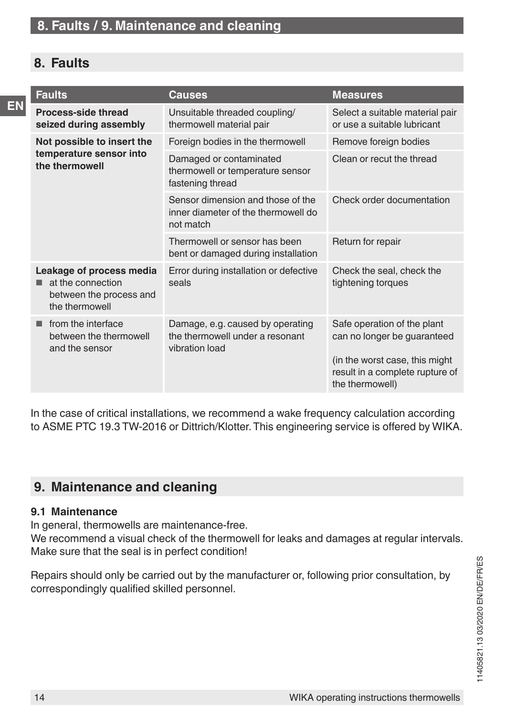## <span id="page-13-0"></span>**8. Faults**

**EN**

|  | <b>Faults</b>                                                                              | <b>Causes</b>                                                                         | <b>Measures</b>                                                                                                                                     |
|--|--------------------------------------------------------------------------------------------|---------------------------------------------------------------------------------------|-----------------------------------------------------------------------------------------------------------------------------------------------------|
|  | Process-side thread<br>seized during assembly                                              | Unsuitable threaded coupling/<br>thermowell material pair                             | Select a suitable material pair<br>or use a suitable lubricant                                                                                      |
|  | Not possible to insert the                                                                 | Foreign bodies in the thermowell                                                      | Remove foreign bodies                                                                                                                               |
|  | temperature sensor into<br>the thermowell                                                  | Damaged or contaminated<br>thermowell or temperature sensor<br>fastening thread       | Clean or recut the thread                                                                                                                           |
|  |                                                                                            | Sensor dimension and those of the<br>inner diameter of the thermowell do<br>not match | Check order documentation                                                                                                                           |
|  |                                                                                            | Thermowell or sensor has been<br>bent or damaged during installation                  | Return for repair                                                                                                                                   |
|  | Leakage of process media<br>at the connection<br>between the process and<br>the thermowell | Error during installation or defective<br>seals                                       | Check the seal, check the<br>tightening torques                                                                                                     |
|  | from the interface<br>between the thermowell<br>and the sensor                             | Damage, e.g. caused by operating<br>the thermowell under a resonant<br>vibration load | Safe operation of the plant<br>can no longer be guaranteed<br>(in the worst case, this might)<br>result in a complete rupture of<br>the thermowell) |

In the case of critical installations, we recommend a wake frequency calculation according to ASME PTC 19.3 TW-2016 or Dittrich/Klotter. This engineering service is offered by WIKA.

## **9. Maintenance and cleaning**

#### **9.1 Maintenance**

In general, thermowells are maintenance-free. We recommend a visual check of the thermowell for leaks and damages at regular intervals. Make sure that the seal is in perfect condition!

Repairs should only be carried out by the manufacturer or, following prior consultation, by correspondingly qualified skilled personnel.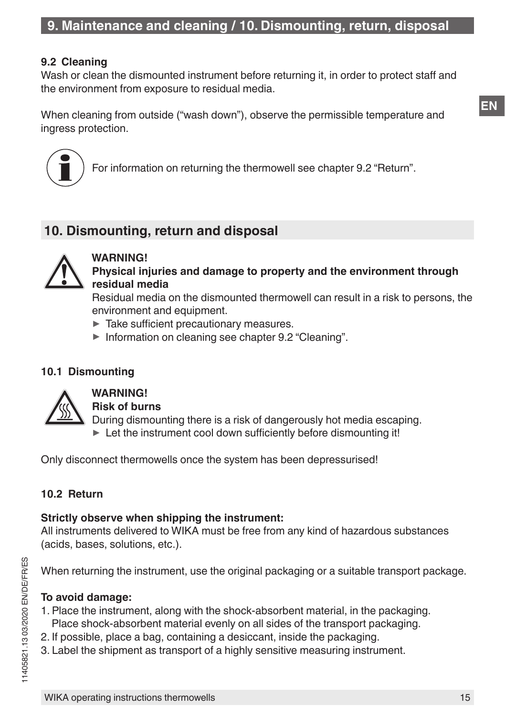#### <span id="page-14-1"></span><span id="page-14-0"></span>**9.2 Cleaning**

Wash or clean the dismounted instrument before returning it, in order to protect staff and the environment from exposure to residual media.

When cleaning from outside ("wash down"), observe the permissible temperature and ingress protection.



For information on returning the thermowell see chapter 9.2 "Return".

## **10. Dismounting, return and disposal**



**WARNING! Physical injuries and damage to property and the environment through residual media**

Residual media on the dismounted thermowell can result in a risk to persons, the environment and equipment.

- $\blacktriangleright$  Take sufficient precautionary measures.
- ▶ Information on cleaning see chapter [9.2 "Cleaning"](#page-14-1).

#### **10.1 Dismounting**



#### **WARNING!**

**Risk of burns**

During dismounting there is a risk of dangerously hot media escaping.

 $\blacktriangleright$  Let the instrument cool down sufficiently before dismounting it!

Only disconnect thermowells once the system has been depressurised!

### **10.2 Return**

#### **Strictly observe when shipping the instrument:**

All instruments delivered to WIKA must be free from any kind of hazardous substances (acids, bases, solutions, etc.).

When returning the instrument, use the original packaging or a suitable transport package.

#### **To avoid damage:**

- 1. Place the instrument, along with the shock-absorbent material, in the packaging. Place shock-absorbent material evenly on all sides of the transport packaging.
- 2. If possible, place a bag, containing a desiccant, inside the packaging.
- 3. Label the shipment as transport of a highly sensitive measuring instrument.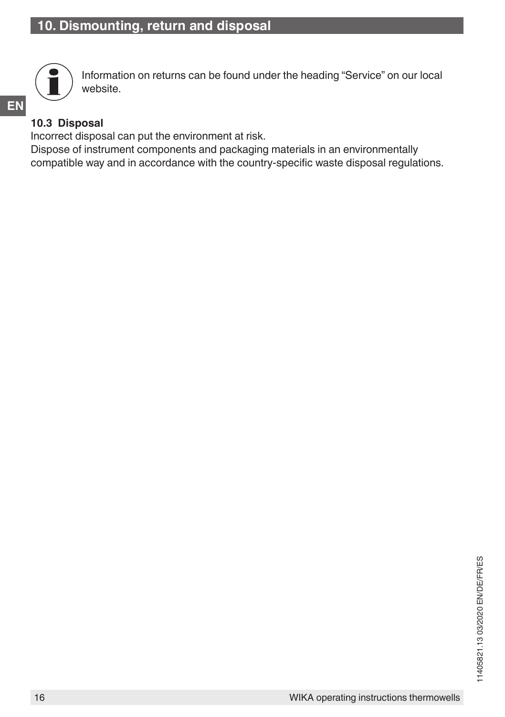

Information on returns can be found under the heading "Service" on our local website.

## **EN 10.3 Disposal**

Incorrect disposal can put the environment at risk.

Dispose of instrument components and packaging materials in an environmentally compatible way and in accordance with the country-specific waste disposal regulations.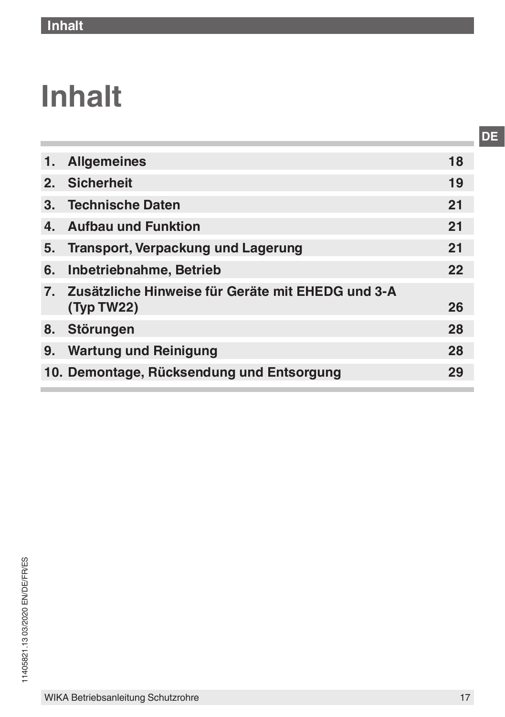## **Inhalt**

| 1.             | <b>Allgemeines</b>                                | 18 |
|----------------|---------------------------------------------------|----|
| $2-$           | <b>Sicherheit</b>                                 | 19 |
| 3 <sub>1</sub> | <b>Technische Daten</b>                           | 21 |
| 4.             | <b>Aufbau und Funktion</b>                        | 21 |
| 5.             | <b>Transport, Verpackung und Lagerung</b>         | 21 |
| 6.             | Inbetriebnahme, Betrieb                           | 22 |
| 7 <sub>1</sub> | Zusätzliche Hinweise für Geräte mit EHEDG und 3-A |    |
|                | (Typ TW22)                                        | 26 |
| 8.             | Störungen                                         | 28 |
| 9.             | <b>Wartung und Reinigung</b>                      | 28 |
|                | 10. Demontage, Rücksendung und Entsorgung         | 29 |
|                |                                                   |    |

**DE**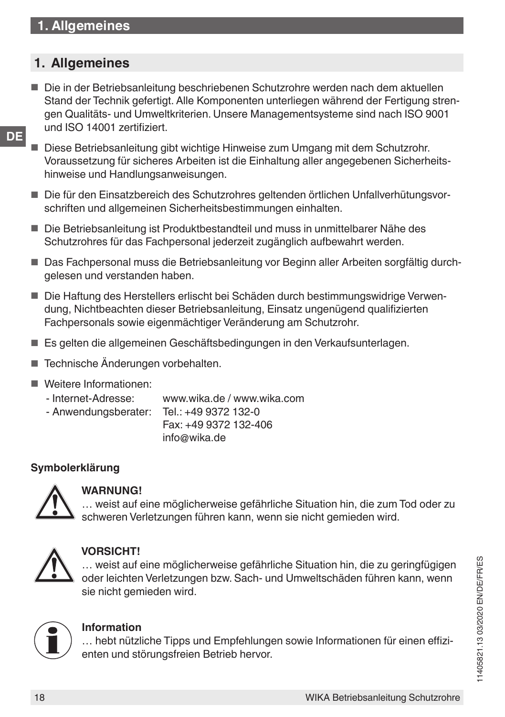## <span id="page-17-0"></span>**1. Allgemeines**

- Die in der Betriebsanleitung beschriebenen Schutzrohre werden nach dem aktuellen Stand der Technik gefertigt. Alle Komponenten unterliegen während der Fertigung strengen Qualitäts- und Umweltkriterien. Unsere Managementsysteme sind nach ISO 9001 und ISO 14001 zertifiziert.
- **DE**
- Diese Betriebsanleitung gibt wichtige Hinweise zum Umgang mit dem Schutzrohr. Voraussetzung für sicheres Arbeiten ist die Einhaltung aller angegebenen Sicherheitshinweise und Handlungsanweisungen.
- Die für den Einsatzbereich des Schutzrohres geltenden örtlichen Unfallverhütungsvorschriften und allgemeinen Sicherheitsbestimmungen einhalten.
- Die Betriebsanleitung ist Produktbestandteil und muss in unmittelbarer Nähe des Schutzrohres für das Fachpersonal jederzeit zugänglich aufbewahrt werden.
- Das Fachpersonal muss die Betriebsanleitung vor Beginn aller Arbeiten sorgfältig durchgelesen und verstanden haben.
- Die Haftung des Herstellers erlischt bei Schäden durch bestimmungswidrige Verwendung, Nichtbeachten dieser Betriebsanleitung, Einsatz ungenügend qualifizierten Fachpersonals sowie eigenmächtiger Veränderung am Schutzrohr.
- Es gelten die allgemeinen Geschäftsbedingungen in den Verkaufsunterlagen.
- Technische Änderungen vorbehalten.
- Weitere Informationen:
	- Internet-Adresse: www.wika.de / www.wika.com
	- Anwendungsberater:
- Fax: +49 9372 132-406 info@wika.de

#### **Symbolerklärung**



#### **WARNUNG!**

… weist auf eine möglicherweise gefährliche Situation hin, die zum Tod oder zu schweren Verletzungen führen kann, wenn sie nicht gemieden wird.



#### **VORSICHT!**

… weist auf eine möglicherweise gefährliche Situation hin, die zu geringfügigen oder leichten Verletzungen bzw. Sach- und Umweltschäden führen kann, wenn sie nicht gemieden wird.



#### **Information**

… hebt nützliche Tipps und Empfehlungen sowie Informationen für einen effizienten und störungsfreien Betrieb hervor.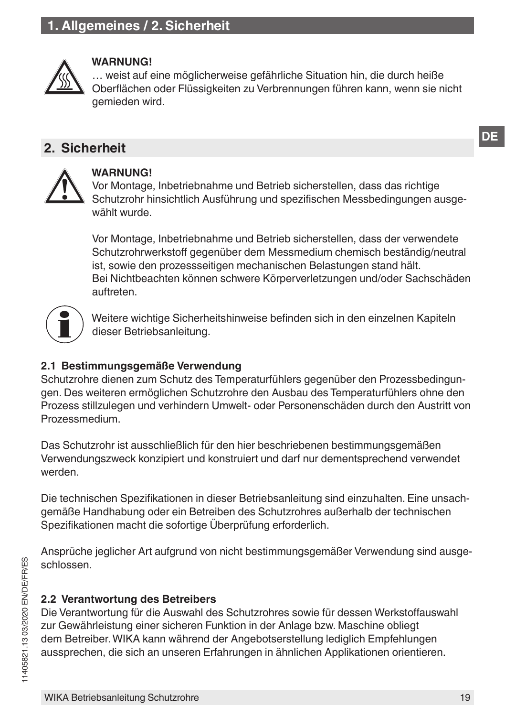## <span id="page-18-0"></span>**1. Allgemeines / 2. Sicherheit**



#### **WARNUNG!**

… weist auf eine möglicherweise gefährliche Situation hin, die durch heiße Oberflächen oder Flüssigkeiten zu Verbrennungen führen kann, wenn sie nicht gemieden wird.

#### **2. Sicherheit**



#### **WARNUNG!**

Vor Montage, Inbetriebnahme und Betrieb sicherstellen, dass das richtige Schutzrohr hinsichtlich Ausführung und spezifischen Messbedingungen ausgewählt wurde.

Vor Montage, Inbetriebnahme und Betrieb sicherstellen, dass der verwendete Schutzrohrwerkstoff gegenüber dem Messmedium chemisch beständig/neutral ist, sowie den prozessseitigen mechanischen Belastungen stand hält. Bei Nichtbeachten können schwere Körperverletzungen und/oder Sachschäden auftreten.



Weitere wichtige Sicherheitshinweise befinden sich in den einzelnen Kapiteln dieser Betriebsanleitung.

#### **2.1 Bestimmungsgemäße Verwendung**

Schutzrohre dienen zum Schutz des Temperaturfühlers gegenüber den Prozessbedingungen. Des weiteren ermöglichen Schutzrohre den Ausbau des Temperaturfühlers ohne den Prozess stillzulegen und verhindern Umwelt- oder Personenschäden durch den Austritt von Prozessmedium.

Das Schutzrohr ist ausschließlich für den hier beschriebenen bestimmungsgemäßen Verwendungszweck konzipiert und konstruiert und darf nur dementsprechend verwendet werden.

Die technischen Spezifikationen in dieser Betriebsanleitung sind einzuhalten. Eine unsachgemäße Handhabung oder ein Betreiben des Schutzrohres außerhalb der technischen Spezifikationen macht die sofortige Überprüfung erforderlich.

Ansprüche jeglicher Art aufgrund von nicht bestimmungsgemäßer Verwendung sind ausgeschlossen.

#### **2.2 Verantwortung des Betreibers**

Die Verantwortung für die Auswahl des Schutzrohres sowie für dessen Werkstoffauswahl zur Gewährleistung einer sicheren Funktion in der Anlage bzw. Maschine obliegt dem Betreiber. WIKA kann während der Angebotserstellung lediglich Empfehlungen aussprechen, die sich an unseren Erfahrungen in ähnlichen Applikationen orientieren.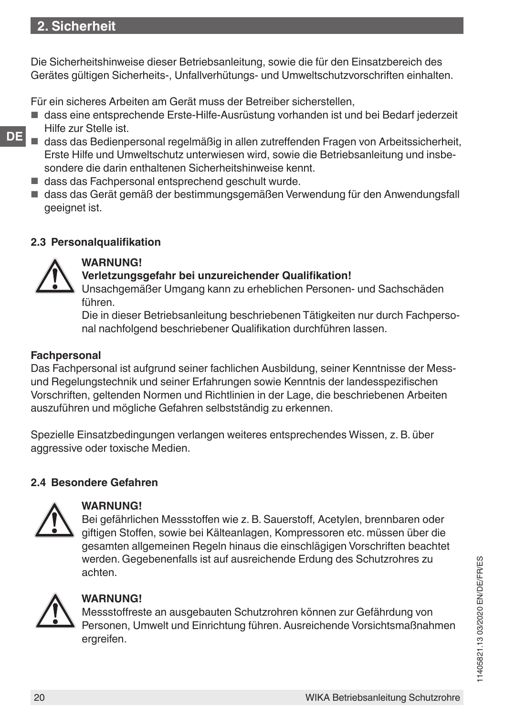## **2. Sicherheit**

Die Sicherheitshinweise dieser Betriebsanleitung, sowie die für den Einsatzbereich des Gerätes gültigen Sicherheits-, Unfallverhütungs- und Umweltschutzvorschriften einhalten.

Für ein sicheres Arbeiten am Gerät muss der Betreiber sicherstellen,

- dass eine entsprechende Erste-Hilfe-Ausrüstung vorhanden ist und bei Bedarf jederzeit Hilfe zur Stelle ist.
- **DE**
- dass das Bedienpersonal regelmäßig in allen zutreffenden Fragen von Arbeitssicherheit, Erste Hilfe und Umweltschutz unterwiesen wird, sowie die Betriebsanleitung und insbesondere die darin enthaltenen Sicherheitshinweise kennt.
- dass das Fachpersonal entsprechend geschult wurde.
- dass das Gerät gemäß der bestimmungsgemäßen Verwendung für den Anwendungsfall geeignet ist.

#### **2.3 Personalqualifikation**



## **WARNUNG!**

#### **Verletzungsgefahr bei unzureichender Qualifikation!**

Unsachgemäßer Umgang kann zu erheblichen Personen- und Sachschäden führen.

Die in dieser Betriebsanleitung beschriebenen Tätigkeiten nur durch Fachpersonal nachfolgend beschriebener Qualifikation durchführen lassen.

#### **Fachpersonal**

Das Fachpersonal ist aufgrund seiner fachlichen Ausbildung, seiner Kenntnisse der Messund Regelungstechnik und seiner Erfahrungen sowie Kenntnis der landesspezifischen Vorschriften, geltenden Normen und Richtlinien in der Lage, die beschriebenen Arbeiten auszuführen und mögliche Gefahren selbstständig zu erkennen.

Spezielle Einsatzbedingungen verlangen weiteres entsprechendes Wissen, z. B. über aggressive oder toxische Medien.

#### **2.4 Besondere Gefahren**



#### **WARNUNG!**

Bei gefährlichen Messstoffen wie z. B. Sauerstoff, Acetylen, brennbaren oder giftigen Stoffen, sowie bei Kälteanlagen, Kompressoren etc. müssen über die gesamten allgemeinen Regeln hinaus die einschlägigen Vorschriften beachtet werden. Gegebenenfalls ist auf ausreichende Erdung des Schutzrohres zu achten.



#### **WARNUNG!**

Messstoffreste an ausgebauten Schutzrohren können zur Gefährdung von Personen, Umwelt und Einrichtung führen. Ausreichende Vorsichtsmaßnahmen ergreifen.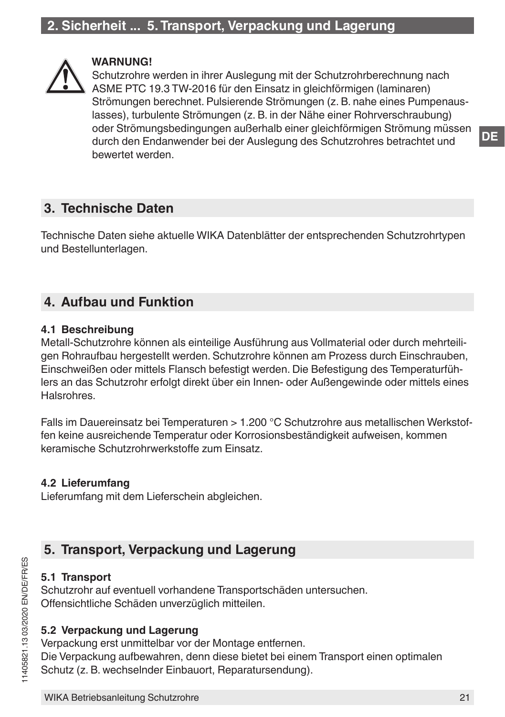<span id="page-20-0"></span>

#### **WARNUNG!**

Schutzrohre werden in ihrer Auslegung mit der Schutzrohrberechnung nach ASME PTC 19.3 TW-2016 für den Einsatz in gleichförmigen (laminaren) Strömungen berechnet. Pulsierende Strömungen (z. B. nahe eines Pumpenauslasses), turbulente Strömungen (z. B. in der Nähe einer Rohrverschraubung) oder Strömungsbedingungen außerhalb einer gleichförmigen Strömung müssen durch den Endanwender bei der Auslegung des Schutzrohres betrachtet und bewertet werden.

## **3. Technische Daten**

Technische Daten siehe aktuelle WIKA Datenblätter der entsprechenden Schutzrohrtypen und Bestellunterlagen.

## **4. Aufbau und Funktion**

#### **4.1 Beschreibung**

Metall-Schutzrohre können als einteilige Ausführung aus Vollmaterial oder durch mehrteiligen Rohraufbau hergestellt werden. Schutzrohre können am Prozess durch Einschrauben, Einschweißen oder mittels Flansch befestigt werden. Die Befestigung des Temperaturfühlers an das Schutzrohr erfolgt direkt über ein Innen- oder Außengewinde oder mittels eines Halsrohres.

Falls im Dauereinsatz bei Temperaturen > 1.200 °C Schutzrohre aus metallischen Werkstoffen keine ausreichende Temperatur oder Korrosionsbeständigkeit aufweisen, kommen keramische Schutzrohrwerkstoffe zum Einsatz.

#### **4.2 Lieferumfang**

Lieferumfang mit dem Lieferschein abgleichen.

## **5. Transport, Verpackung und Lagerung**

#### **5.1 Transport**

Schutzrohr auf eventuell vorhandene Transportschäden untersuchen. Offensichtliche Schäden unverzüglich mitteilen.

#### **5.2 Verpackung und Lagerung**

Verpackung erst unmittelbar vor der Montage entfernen. Die Verpackung aufbewahren, denn diese bietet bei einem Transport einen optimalen Schutz (z. B. wechselnder Einbauort, Reparatursendung).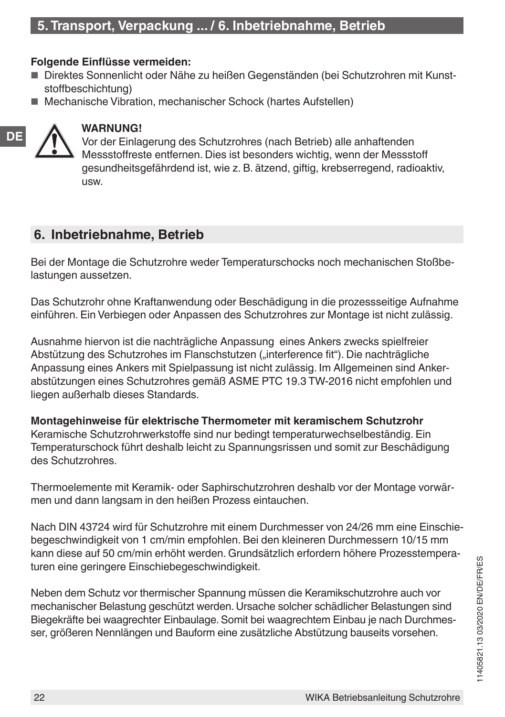## <span id="page-21-0"></span>**5. Transport, Verpackung ... / 6. Inbetriebnahme, Betrieb**

#### **Folgende Einflüsse vermeiden:**

- Direktes Sonnenlicht oder Nähe zu heißen Gegenständen (bei Schutzrohren mit Kunststoffbeschichtung)
- Mechanische Vibration, mechanischer Schock (hartes Aufstellen)



#### **WARNUNG!**

Vor der Einlagerung des Schutzrohres (nach Betrieb) alle anhaftenden Messstoffreste entfernen. Dies ist besonders wichtig, wenn der Messstoff gesundheitsgefährdend ist, wie z. B. ätzend, giftig, krebserregend, radioaktiv, usw.

## **6. Inbetriebnahme, Betrieb**

Bei der Montage die Schutzrohre weder Temperaturschocks noch mechanischen Stoßbelastungen aussetzen.

Das Schutzrohr ohne Kraftanwendung oder Beschädigung in die prozessseitige Aufnahme einführen. Ein Verbiegen oder Anpassen des Schutzrohres zur Montage ist nicht zulässig.

Ausnahme hiervon ist die nachträgliche Anpassung eines Ankers zwecks spielfreier Abstützung des Schutzrohes im Flanschstutzen ("interference fit"). Die nachträgliche Anpassung eines Ankers mit Spielpassung ist nicht zulässig. Im Allgemeinen sind Ankerabstützungen eines Schutzrohres gemäß ASME PTC 19.3 TW-2016 nicht empfohlen und liegen außerhalb dieses Standards.

**Montagehinweise für elektrische Thermometer mit keramischem Schutzrohr** Keramische Schutzrohrwerkstoffe sind nur bedingt temperaturwechselbeständig. Ein Temperaturschock führt deshalb leicht zu Spannungsrissen und somit zur Beschädigung des Schutzrohres.

Thermoelemente mit Keramik- oder Saphirschutzrohren deshalb vor der Montage vorwärmen und dann langsam in den heißen Prozess eintauchen.

Nach DIN 43724 wird für Schutzrohre mit einem Durchmesser von 24/26 mm eine Einschiebegeschwindigkeit von 1 cm/min empfohlen. Bei den kleineren Durchmessern 10/15 mm kann diese auf 50 cm/min erhöht werden. Grundsätzlich erfordern höhere Prozesstemperaturen eine geringere Einschiebegeschwindigkeit.

Neben dem Schutz vor thermischer Spannung müssen die Keramikschutzrohre auch vor mechanischer Belastung geschützt werden. Ursache solcher schädlicher Belastungen sind Biegekräfte bei waagrechter Einbaulage. Somit bei waagrechtem Einbau je nach Durchmesser, größeren Nennlängen und Bauform eine zusätzliche Abstützung bauseits vorsehen.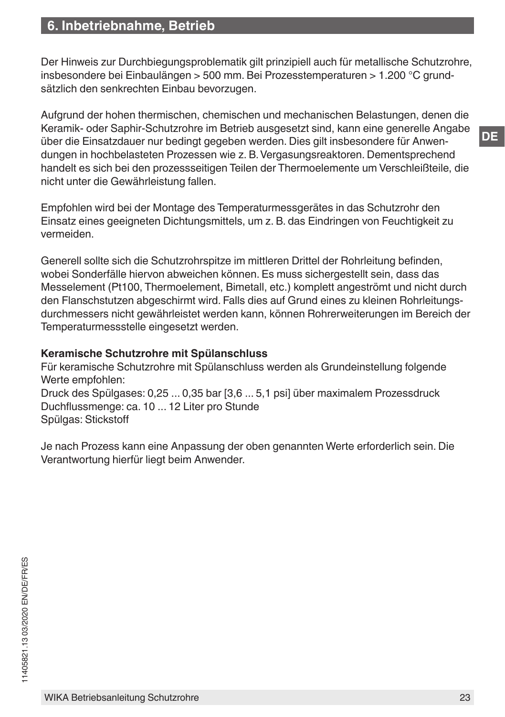Der Hinweis zur Durchbiegungsproblematik gilt prinzipiell auch für metallische Schutzrohre, insbesondere bei Einbaulängen > 500 mm. Bei Prozesstemperaturen > 1.200 °C grundsätzlich den senkrechten Einbau bevorzugen.

Aufgrund der hohen thermischen, chemischen und mechanischen Belastungen, denen die Keramik- oder Saphir-Schutzrohre im Betrieb ausgesetzt sind, kann eine generelle Angabe über die Einsatzdauer nur bedingt gegeben werden. Dies gilt insbesondere für Anwendungen in hochbelasteten Prozessen wie z. B. Vergasungsreaktoren. Dementsprechend handelt es sich bei den prozessseitigen Teilen der Thermoelemente um Verschleißteile, die nicht unter die Gewährleistung fallen.

Empfohlen wird bei der Montage des Temperaturmessgerätes in das Schutzrohr den Einsatz eines geeigneten Dichtungsmittels, um z. B. das Eindringen von Feuchtigkeit zu vermeiden.

Generell sollte sich die Schutzrohrspitze im mittleren Drittel der Rohrleitung befinden, wobei Sonderfälle hiervon abweichen können. Es muss sichergestellt sein, dass das Messelement (Pt100, Thermoelement, Bimetall, etc.) komplett angeströmt und nicht durch den Flanschstutzen abgeschirmt wird. Falls dies auf Grund eines zu kleinen Rohrleitungsdurchmessers nicht gewährleistet werden kann, können Rohrerweiterungen im Bereich der Temperaturmessstelle eingesetzt werden.

#### **Keramische Schutzrohre mit Spülanschluss**

Für keramische Schutzrohre mit Spülanschluss werden als Grundeinstellung folgende Werte empfohlen:

Druck des Spülgases: 0,25 ... 0,35 bar [3,6 ... 5,1 psi] über maximalem Prozessdruck Duchflussmenge: ca. 10 ... 12 Liter pro Stunde Spülgas: Stickstoff

Je nach Prozess kann eine Anpassung der oben genannten Werte erforderlich sein. Die Verantwortung hierfür liegt beim Anwender.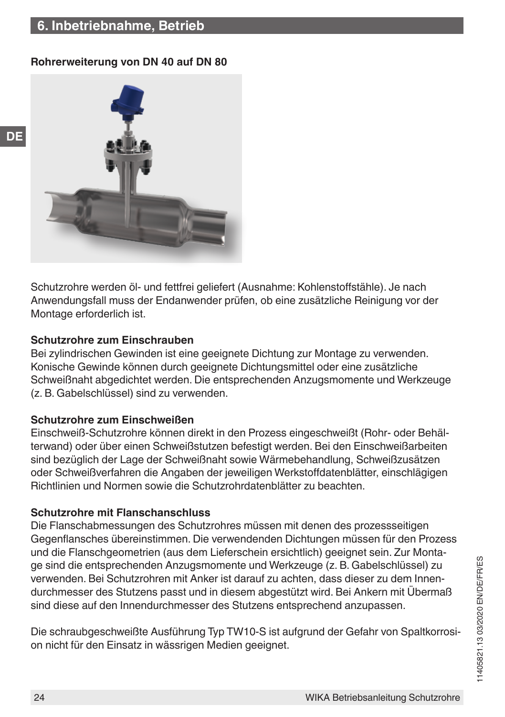## **6. Inbetriebnahme, Betrieb**

**DE**

#### **Rohrerweiterung von DN 40 auf DN 80**



Schutzrohre werden öl- und fettfrei geliefert (Ausnahme: Kohlenstoffstähle). Je nach Anwendungsfall muss der Endanwender prüfen, ob eine zusätzliche Reinigung vor der Montage erforderlich ist.

#### **Schutzrohre zum Einschrauben**

Bei zylindrischen Gewinden ist eine geeignete Dichtung zur Montage zu verwenden. Konische Gewinde können durch geeignete Dichtungsmittel oder eine zusätzliche Schweißnaht abgedichtet werden. Die entsprechenden Anzugsmomente und Werkzeuge (z. B. Gabelschlüssel) sind zu verwenden.

#### **Schutzrohre zum Einschweißen**

Einschweiß-Schutzrohre können direkt in den Prozess eingeschweißt (Rohr- oder Behälterwand) oder über einen Schweißstutzen befestigt werden. Bei den Einschweißarbeiten sind bezüglich der Lage der Schweißnaht sowie Wärmebehandlung, Schweißzusätzen oder Schweißverfahren die Angaben der jeweiligen Werkstoffdatenblätter, einschlägigen Richtlinien und Normen sowie die Schutzrohrdatenblätter zu beachten.

#### **Schutzrohre mit Flanschanschluss**

Die Flanschabmessungen des Schutzrohres müssen mit denen des prozessseitigen Gegenflansches übereinstimmen. Die verwendenden Dichtungen müssen für den Prozess und die Flanschgeometrien (aus dem Lieferschein ersichtlich) geeignet sein. Zur Montage sind die entsprechenden Anzugsmomente und Werkzeuge (z. B. Gabelschlüssel) zu verwenden. Bei Schutzrohren mit Anker ist darauf zu achten, dass dieser zu dem Innendurchmesser des Stutzens passt und in diesem abgestützt wird. Bei Ankern mit Übermaß sind diese auf den Innendurchmesser des Stutzens entsprechend anzupassen.

Die schraubgeschweißte Ausführung Typ TW10-S ist aufgrund der Gefahr von Spaltkorrosion nicht für den Einsatz in wässrigen Medien geeignet.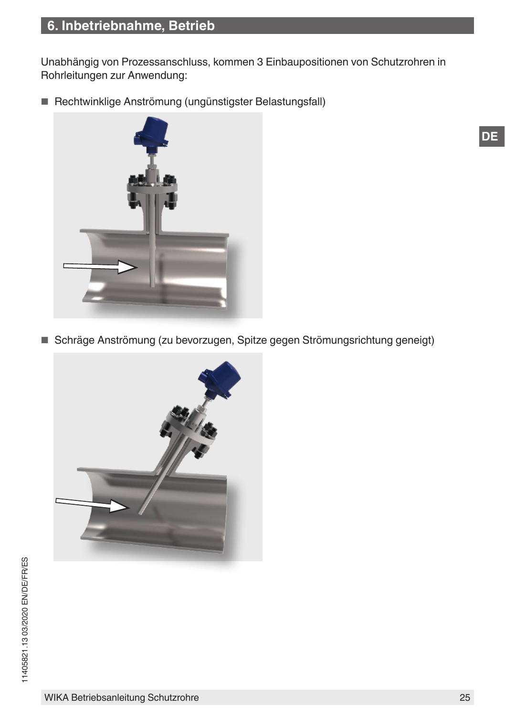Unabhängig von Prozessanschluss, kommen 3 Einbaupositionen von Schutzrohren in Rohrleitungen zur Anwendung:

■ Rechtwinklige Anströmung (ungünstigster Belastungsfall)



■ Schräge Anströmung (zu bevorzugen, Spitze gegen Strömungsrichtung geneigt)

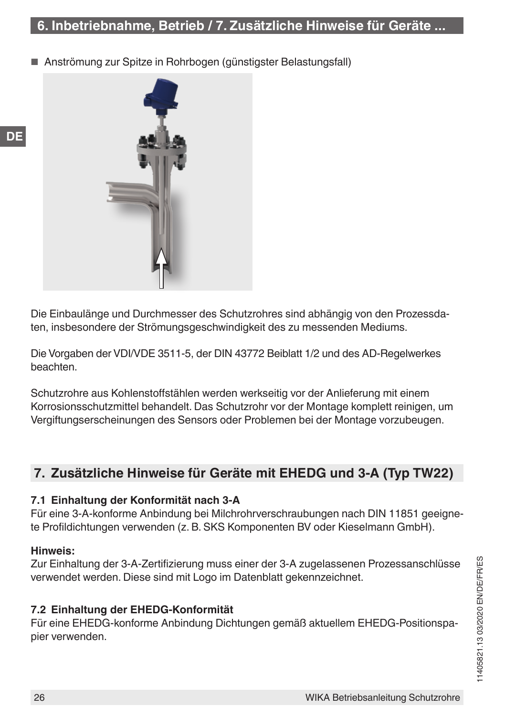## <span id="page-25-0"></span>**6. Inbetriebnahme, Betrieb / 7. Zusätzliche Hinweise für Geräte ...**

Anströmung zur Spitze in Rohrbogen (günstigster Belastungsfall)



Die Einbaulänge und Durchmesser des Schutzrohres sind abhängig von den Prozessdaten, insbesondere der Strömungsgeschwindigkeit des zu messenden Mediums.

Die Vorgaben der VDI/VDE 3511-5, der DIN 43772 Beiblatt 1/2 und des AD-Regelwerkes beachten.

Schutzrohre aus Kohlenstoffstählen werden werkseitig vor der Anlieferung mit einem Korrosionsschutzmittel behandelt. Das Schutzrohr vor der Montage komplett reinigen, um Vergiftungserscheinungen des Sensors oder Problemen bei der Montage vorzubeugen.

## **7. Zusätzliche Hinweise für Geräte mit EHEDG und 3-A (Typ TW22)**

#### **7.1 Einhaltung der Konformität nach 3-A**

Für eine 3-A-konforme Anbindung bei Milchrohrverschraubungen nach DIN 11851 geeignete Profildichtungen verwenden (z. B. SKS Komponenten BV oder Kieselmann GmbH).

#### **Hinweis:**

Zur Einhaltung der 3-A-Zertifizierung muss einer der 3-A zugelassenen Prozessanschlüsse verwendet werden. Diese sind mit Logo im Datenblatt gekennzeichnet.

#### **7.2 Einhaltung der EHEDG-Konformität**

Für eine EHEDG-konforme Anbindung Dichtungen gemäß aktuellem EHEDG-Positionspapier verwenden.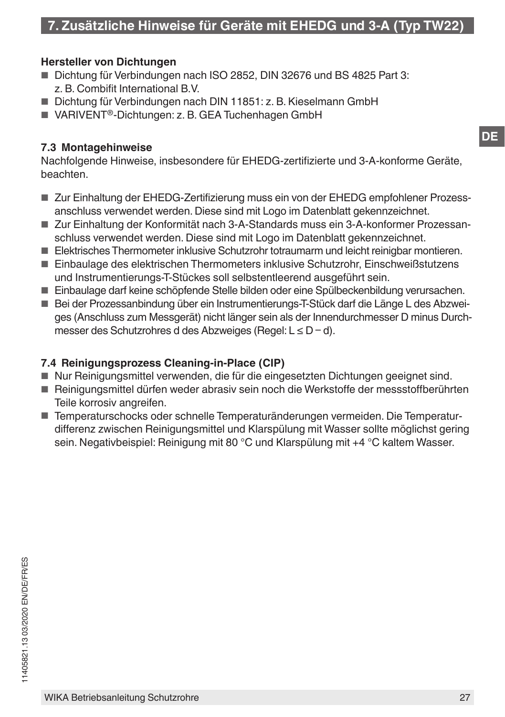#### **Hersteller von Dichtungen**

- Dichtung für Verbindungen nach ISO 2852, DIN 32676 und BS 4825 Part 3: z. B. Combifit International B.V.
- Dichtung für Verbindungen nach DIN 11851: z. B. Kieselmann GmbH
- VARIVENT<sup>®</sup>-Dichtungen: z. B. GEA Tuchenhagen GmbH

#### **7.3 Montagehinweise**

Nachfolgende Hinweise, insbesondere für EHEDG-zertifizierte und 3-A-konforme Geräte, beachten.

- Zur Einhaltung der EHEDG-Zertifizierung muss ein von der EHEDG empfohlener Prozessanschluss verwendet werden. Diese sind mit Logo im Datenblatt gekennzeichnet.
- Zur Einhaltung der Konformität nach 3-A-Standards muss ein 3-A-konformer Prozessanschluss verwendet werden. Diese sind mit Logo im Datenblatt gekennzeichnet.
- Elektrisches Thermometer inklusive Schutzrohr totraumarm und leicht reinigbar montieren.
- Einbaulage des elektrischen Thermometers inklusive Schutzrohr, Einschweißstutzens und Instrumentierungs-T-Stückes soll selbstentleerend ausgeführt sein.
- Einbaulage darf keine schöpfende Stelle bilden oder eine Spülbeckenbildung verursachen.
- Bei der Prozessanbindung über ein Instrumentierungs-T-Stück darf die Länge L des Abzweiges (Anschluss zum Messgerät) nicht länger sein als der Innendurchmesser D minus Durchmesser des Schutzrohres d des Abzweiges (Regel: L ≤ D – d).

#### **7.4 Reinigungsprozess Cleaning-in-Place (CIP)**

- Nur Reinigungsmittel verwenden, die für die eingesetzten Dichtungen geeignet sind.
- Reinigungsmittel dürfen weder abrasiv sein noch die Werkstoffe der messstoffberührten Teile korrosiv angreifen.
- Temperaturschocks oder schnelle Temperaturänderungen vermeiden. Die Temperaturdifferenz zwischen Reinigungsmittel und Klarspülung mit Wasser sollte möglichst gering sein. Negativbeispiel: Reinigung mit 80 °C und Klarspülung mit +4 °C kaltem Wasser.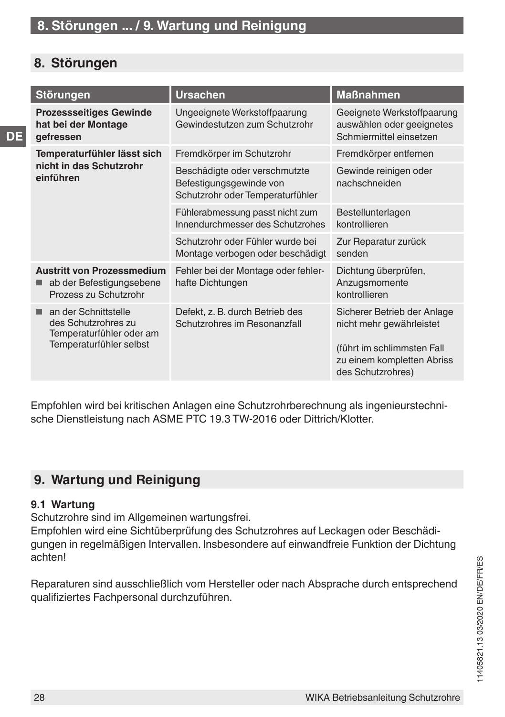## <span id="page-27-0"></span>**8. Störungen**

**DE**

| <b>Störungen</b>                                                                                   | <b>Ursachen</b>                                                                              | <b>Maßnahmen</b>                                                                                                                         |
|----------------------------------------------------------------------------------------------------|----------------------------------------------------------------------------------------------|------------------------------------------------------------------------------------------------------------------------------------------|
| <b>Prozessseitiges Gewinde</b><br>hat bei der Montage<br>gefressen                                 | Ungeeignete Werkstoffpaarung<br>Gewindestutzen zum Schutzrohr                                | Geeignete Werkstoffpaarung<br>auswählen oder geeignetes<br>Schmiermittel einsetzen                                                       |
| Temperaturfühler lässt sich                                                                        | Fremdkörper im Schutzrohr                                                                    | Fremdkörper entfernen                                                                                                                    |
| nicht in das Schutzrohr<br>einführen                                                               | Beschädigte oder verschmutzte<br>Befestigungsgewinde von<br>Schutzrohr oder Temperaturfühler | Gewinde reinigen oder<br>nachschneiden                                                                                                   |
|                                                                                                    | Fühlerabmessung passt nicht zum<br>Innendurchmesser des Schutzrohes                          | Bestellunterlagen<br>kontrollieren                                                                                                       |
|                                                                                                    | Schutzrohr oder Fühler wurde bei<br>Montage verbogen oder beschädigt                         | Zur Reparatur zurück<br>senden                                                                                                           |
| <b>Austritt von Prozessmedium</b><br>ab der Befestigungsebene<br>Prozess zu Schutzrohr             | Fehler bei der Montage oder fehler-<br>hafte Dichtungen                                      | Dichtung überprüfen,<br>Anzugsmomente<br>kontrollieren                                                                                   |
| an der Schnittstelle<br>des Schutzrohres zu<br>Temperaturfühler oder am<br>Temperaturfühler selbst | Defekt, z. B. durch Betrieb des<br>Schutzrohres im Resonanzfall                              | Sicherer Betrieb der Anlage<br>nicht mehr gewährleistet<br>(führt im schlimmsten Fall<br>zu einem kompletten Abriss<br>des Schutzrohres) |
|                                                                                                    |                                                                                              |                                                                                                                                          |

Empfohlen wird bei kritischen Anlagen eine Schutzrohrberechnung als ingenieurstechnische Dienstleistung nach ASME PTC 19.3 TW-2016 oder Dittrich/Klotter.

## **9. Wartung und Reinigung**

#### **9.1 Wartung**

Schutzrohre sind im Allgemeinen wartungsfrei.

Empfohlen wird eine Sichtüberprüfung des Schutzrohres auf Leckagen oder Beschädigungen in regelmäßigen Intervallen. Insbesondere auf einwandfreie Funktion der Dichtung achten!

Reparaturen sind ausschließlich vom Hersteller oder nach Absprache durch entsprechend qualifiziertes Fachpersonal durchzuführen.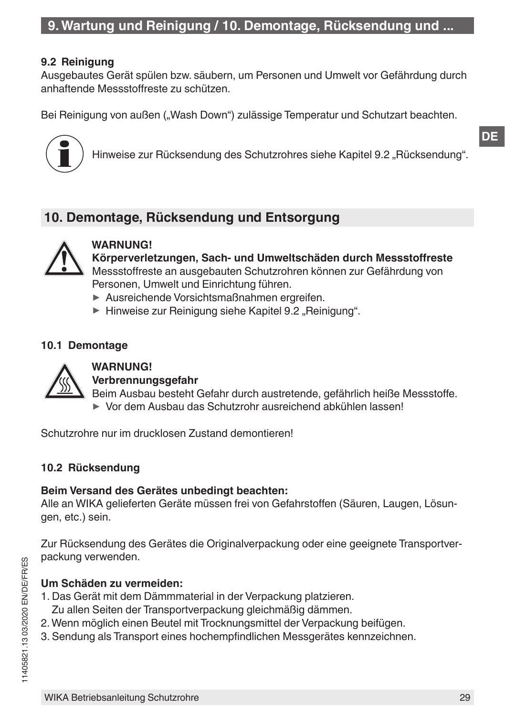#### <span id="page-28-1"></span><span id="page-28-0"></span>**9.2 Reinigung**

Ausgebautes Gerät spülen bzw. säubern, um Personen und Umwelt vor Gefährdung durch anhaftende Messstoffreste zu schützen.

Bei Reinigung von außen ("Wash Down") zulässige Temperatur und Schutzart beachten.



Hinweise zur Rücksendung des Schutzrohres siehe Kapitel 9.2 "Rücksendung".

## **10. Demontage, Rücksendung und Entsorgung**



#### **WARNUNG!**

**Körperverletzungen, Sach- und Umweltschäden durch Messstoffreste** Messstoffreste an ausgebauten Schutzrohren können zur Gefährdung von Personen, Umwelt und Einrichtung führen.

- ▶ Ausreichende Vorsichtsmaßnahmen ergreifen.
- ▶ Hinweise zur Reinigung siehe Kapitel [9.2 "Reinigung"](#page-28-1).

#### **10.1 Demontage**



## **WARNUNG!**

**Verbrennungsgefahr**

Beim Ausbau besteht Gefahr durch austretende, gefährlich heiße Messstoffe. ▶ Vor dem Ausbau das Schutzrohr ausreichend abkühlen lassen!

Schutzrohre nur im drucklosen Zustand demontieren!

#### **10.2 Rücksendung**

#### **Beim Versand des Gerätes unbedingt beachten:**

Alle an WIKA gelieferten Geräte müssen frei von Gefahrstoffen (Säuren, Laugen, Lösungen, etc.) sein.

Zur Rücksendung des Gerätes die Originalverpackung oder eine geeignete Transportverpackung verwenden.

#### **Um Schäden zu vermeiden:**

- 1. Das Gerät mit dem Dämmmaterial in der Verpackung platzieren. Zu allen Seiten der Transportverpackung gleichmäßig dämmen.
- 2. Wenn möglich einen Beutel mit Trocknungsmittel der Verpackung beifügen.
- 3. Sendung als Transport eines hochempfindlichen Messgerätes kennzeichnen.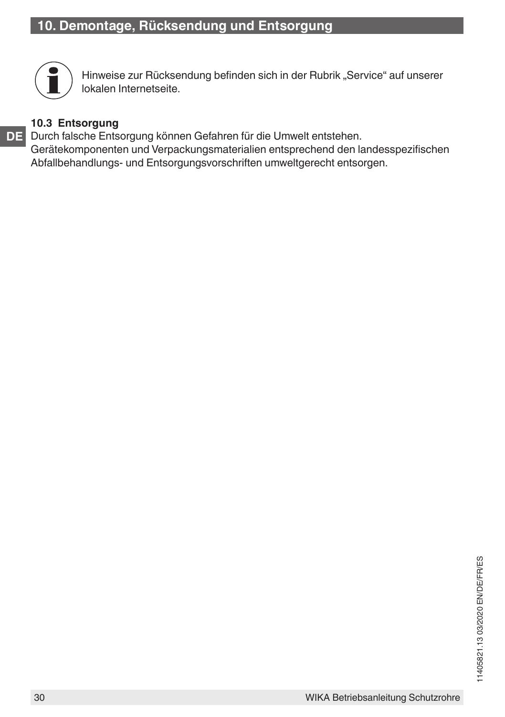

Hinweise zur Rücksendung befinden sich in der Rubrik "Service" auf unserer lokalen Internetseite.

### **10.3 Entsorgung**

**DE** Durch falsche Entsorgung können Gefahren für die Umwelt entstehen. Gerätekomponenten und Verpackungsmaterialien entsprechend den landesspezifischen Abfallbehandlungs- und Entsorgungsvorschriften umweltgerecht entsorgen.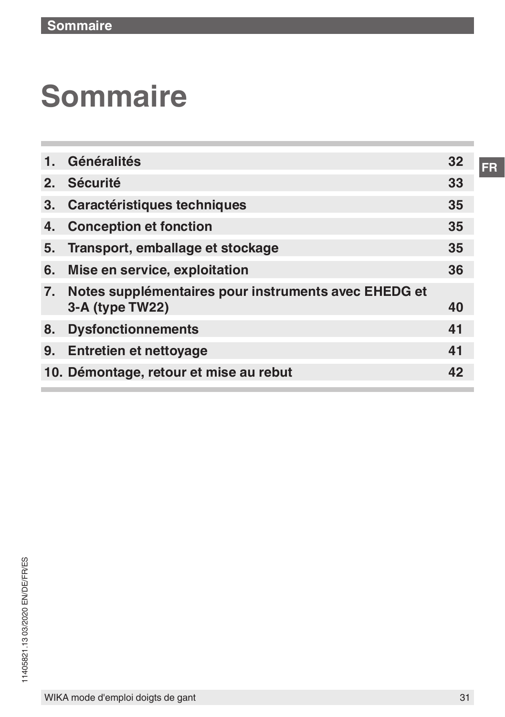# **Sommaire**

| 1.             | Généralités                                                             | 32 |
|----------------|-------------------------------------------------------------------------|----|
| 2.             | <b>Sécurité</b>                                                         | 33 |
| 3 <sub>1</sub> | <b>Caractéristiques techniques</b>                                      | 35 |
| 4.             | <b>Conception et fonction</b>                                           | 35 |
| 5.             | Transport, emballage et stockage                                        | 35 |
| 6.             | Mise en service, exploitation                                           | 36 |
| 7.             | Notes supplémentaires pour instruments avec EHEDG et<br>3-A (type TW22) | 40 |
| 8.             | <b>Dysfonctionnements</b>                                               | 41 |
| 9.             | <b>Entretien et nettoyage</b>                                           | 41 |
|                | 10. Démontage, retour et mise au rebut                                  | 42 |
|                |                                                                         |    |

**FR**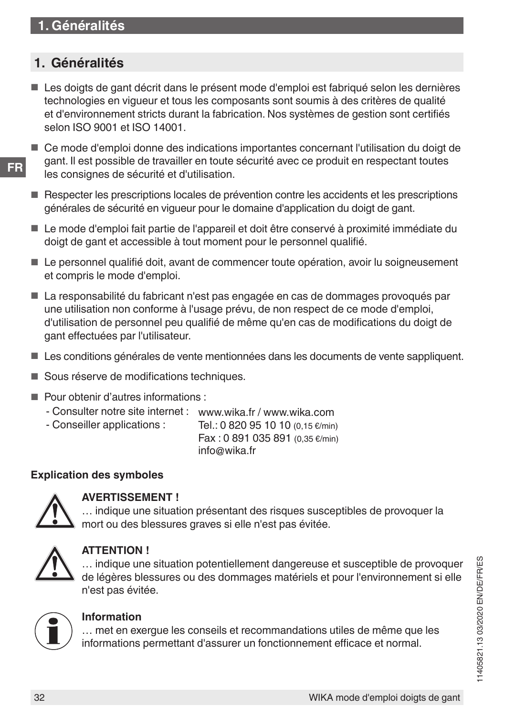## <span id="page-31-0"></span>**1. Généralités**

- Les doigts de gant décrit dans le présent mode d'emploi est fabriqué selon les dernières technologies en vigueur et tous les composants sont soumis à des critères de qualité et d'environnement stricts durant la fabrication. Nos systèmes de gestion sont certifiés selon ISO 9001 et ISO 14001.
- Ce mode d'emploi donne des indications importantes concernant l'utilisation du doigt de gant. Il est possible de travailler en toute sécurité avec ce produit en respectant toutes les consignes de sécurité et d'utilisation.
- Respecter les prescriptions locales de prévention contre les accidents et les prescriptions générales de sécurité en vigueur pour le domaine d'application du doigt de gant.
- Le mode d'emploi fait partie de l'appareil et doit être conservé à proximité immédiate du doigt de gant et accessible à tout moment pour le personnel qualifié.
- Le personnel qualifié doit, avant de commencer toute opération, avoir lu soigneusement et compris le mode d'emploi.
- La responsabilité du fabricant n'est pas engagée en cas de dommages provoqués par une utilisation non conforme à l'usage prévu, de non respect de ce mode d'emploi, d'utilisation de personnel peu qualifié de même qu'en cas de modifications du doigt de gant effectuées par l'utilisateur.
- Les conditions générales de vente mentionnées dans les documents de vente sappliquent.
- Sous réserve de modifications techniques.
- Pour obtenir d'autres informations :
	- Consulter notre site internet : www.wika.fr / www.wika.com<br>- Conseiller applications : Tel.: 0 820 95 10 10 (0.15  $\epsilon$ /min
	- Tel.: 0 820 95 10 10 (0.15  $\varepsilon$ /min)

Fax : 0 891 035 891 (0,35 €/min) info@wika.fr

#### **Explication des symboles**



## **AVERTISSEMENT !**

… indique une situation présentant des risques susceptibles de provoquer la mort ou des blessures graves si elle n'est pas évitée.



#### **ATTENTION !**

… indique une situation potentiellement dangereuse et susceptible de provoquer de légères blessures ou des dommages matériels et pour l'environnement si elle n'est pas évitée.



#### **Information**

… met en exergue les conseils et recommandations utiles de même que les informations permettant d'assurer un fonctionnement efficace et normal.

**FR**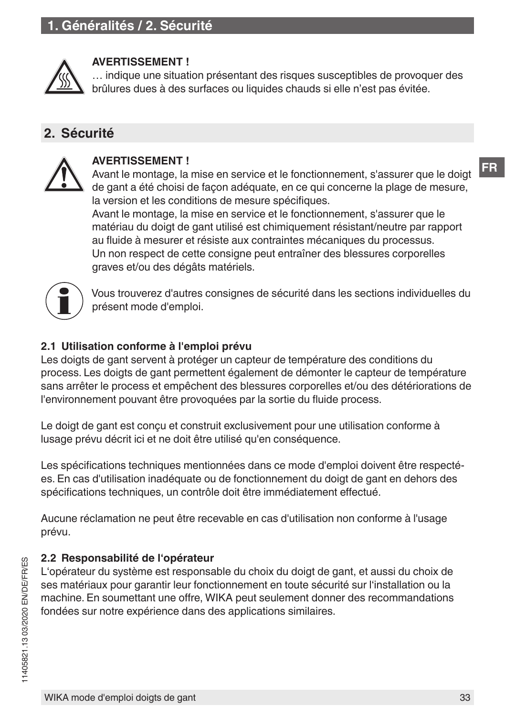<span id="page-32-0"></span>

#### **AVERTISSEMENT !**

… indique une situation présentant des risques susceptibles de provoquer des brûlures dues à des surfaces ou liquides chauds si elle n'est pas évitée.

## **2. Sécurité**



#### **AVERTISSEMENT !**

Avant le montage, la mise en service et le fonctionnement, s'assurer que le doigt de gant a été choisi de façon adéquate, en ce qui concerne la plage de mesure, la version et les conditions de mesure spécifiques. Avant le montage, la mise en service et le fonctionnement, s'assurer que le matériau du doigt de gant utilisé est chimiquement résistant/neutre par rapport au fluide à mesurer et résiste aux contraintes mécaniques du processus. Un non respect de cette consigne peut entraîner des blessures corporelles graves et/ou des dégâts matériels.



Vous trouverez d'autres consignes de sécurité dans les sections individuelles du présent mode d'emploi.

#### **2.1 Utilisation conforme à l'emploi prévu**

Les doigts de gant servent à protéger un capteur de température des conditions du process. Les doigts de gant permettent également de démonter le capteur de température sans arrêter le process et empêchent des blessures corporelles et/ou des détériorations de l'environnement pouvant être provoquées par la sortie du fluide process.

Le doigt de gant est conçu et construit exclusivement pour une utilisation conforme à lusage prévu décrit ici et ne doit être utilisé qu'en conséquence.

Les spécifications techniques mentionnées dans ce mode d'emploi doivent être respectées. En cas d'utilisation inadéquate ou de fonctionnement du doigt de gant en dehors des spécifications techniques, un contrôle doit être immédiatement effectué.

Aucune réclamation ne peut être recevable en cas d'utilisation non conforme à l'usage prévu.

#### **2.2 Responsabilité de l'opérateur**

L'opérateur du système est responsable du choix du doigt de gant, et aussi du choix de ses matériaux pour garantir leur fonctionnement en toute sécurité sur l'installation ou la machine. En soumettant une offre, WIKA peut seulement donner des recommandations fondées sur notre expérience dans des applications similaires.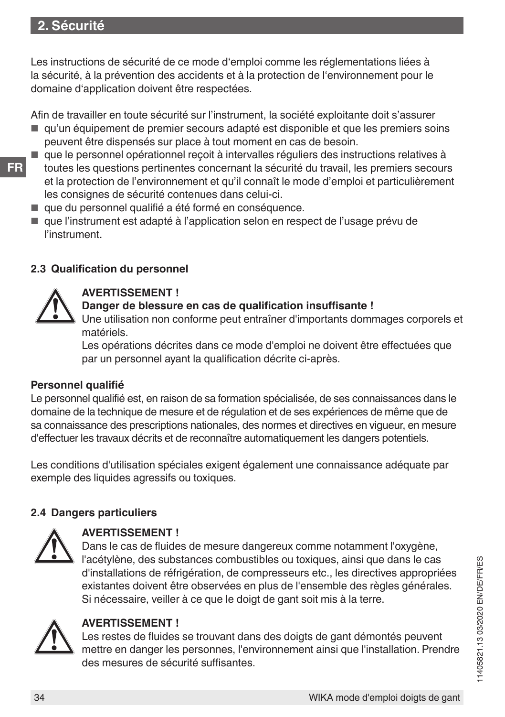## **2. Sécurité**

Les instructions de sécurité de ce mode d'emploi comme les réglementations liées à la sécurité, à la prévention des accidents et à la protection de l'environnement pour le domaine d'application doivent être respectées.

Afin de travailler en toute sécurité sur l'instrument, la société exploitante doit s'assurer

- qu'un équipement de premier secours adapté est disponible et que les premiers soins peuvent être dispensés sur place à tout moment en cas de besoin.
- que le personnel opérationnel reçoit à intervalles réguliers des instructions relatives à toutes les questions pertinentes concernant la sécurité du travail, les premiers secours et la protection de l'environnement et qu'il connaît le mode d'emploi et particulièrement les consignes de sécurité contenues dans celui-ci.
- que du personnel qualifié a été formé en conséquence.
- que l'instrument est adapté à l'application selon en respect de l'usage prévu de l'instrument.

#### **2.3 Qualification du personnel**



#### **AVERTISSEMENT !**

#### **Danger de blessure en cas de qualification insuffisante !**

Une utilisation non conforme peut entraîner d'importants dommages corporels et matériels.

Les opérations décrites dans ce mode d'emploi ne doivent être effectuées que par un personnel ayant la qualification décrite ci-après.

#### **Personnel qualifié**

Le personnel qualifié est, en raison de sa formation spécialisée, de ses connaissances dans le domaine de la technique de mesure et de régulation et de ses expériences de même que de sa connaissance des prescriptions nationales, des normes et directives en vigueur, en mesure d'effectuer les travaux décrits et de reconnaître automatiquement les dangers potentiels.

Les conditions d'utilisation spéciales exigent également une connaissance adéquate par exemple des liquides agressifs ou toxiques.

#### **2.4 Dangers particuliers**



#### **AVERTISSEMENT !**

Dans le cas de fluides de mesure dangereux comme notamment l'oxygène, l'acétylène, des substances combustibles ou toxiques, ainsi que dans le cas d'installations de réfrigération, de compresseurs etc., les directives appropriées existantes doivent être observées en plus de l'ensemble des règles générales. Si nécessaire, veiller à ce que le doigt de gant soit mis à la terre.



#### **AVERTISSEMENT !**

Les restes de fluides se trouvant dans des doigts de gant démontés peuvent mettre en danger les personnes, l'environnement ainsi que l'installation. Prendre des mesures de sécurité suffisantes.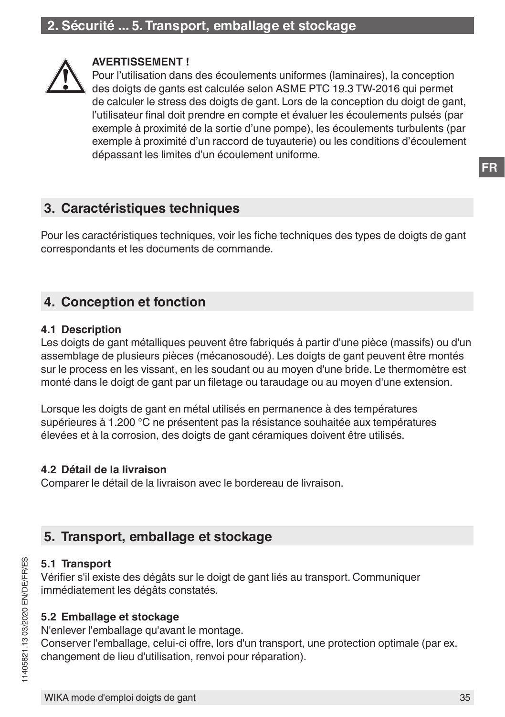<span id="page-34-0"></span>

#### **AVERTISSEMENT !**

Pour l'utilisation dans des écoulements uniformes (laminaires), la conception des doigts de gants est calculée selon ASME PTC 19.3 TW-2016 qui permet de calculer le stress des doigts de gant. Lors de la conception du doigt de gant, l'utilisateur final doit prendre en compte et évaluer les écoulements pulsés (par exemple à proximité de la sortie d'une pompe), les écoulements turbulents (par exemple à proximité d'un raccord de tuyauterie) ou les conditions d'écoulement dépassant les limites d'un écoulement uniforme.

## **3. Caractéristiques techniques**

Pour les caractéristiques techniques, voir les fiche techniques des types de doigts de gant correspondants et les documents de commande.

## **4. Conception et fonction**

#### **4.1 Description**

Les doigts de gant métalliques peuvent être fabriqués à partir d'une pièce (massifs) ou d'un assemblage de plusieurs pièces (mécanosoudé). Les doigts de gant peuvent être montés sur le process en les vissant, en les soudant ou au moyen d'une bride. Le thermomètre est monté dans le doigt de gant par un filetage ou taraudage ou au moyen d'une extension.

Lorsque les doigts de gant en métal utilisés en permanence à des températures supérieures à 1.200 °C ne présentent pas la résistance souhaitée aux températures élevées et à la corrosion, des doigts de gant céramiques doivent être utilisés.

#### **4.2 Détail de la livraison**

Comparer le détail de la livraison avec le bordereau de livraison.

## **5. Transport, emballage et stockage**

#### **5.1 Transport**

Vérifier s'il existe des dégâts sur le doigt de gant liés au transport. Communiquer immédiatement les dégâts constatés.

#### **5.2 Emballage et stockage**

N'enlever l'emballage qu'avant le montage.

Conserver l'emballage, celui-ci offre, lors d'un transport, une protection optimale (par ex. changement de lieu d'utilisation, renvoi pour réparation).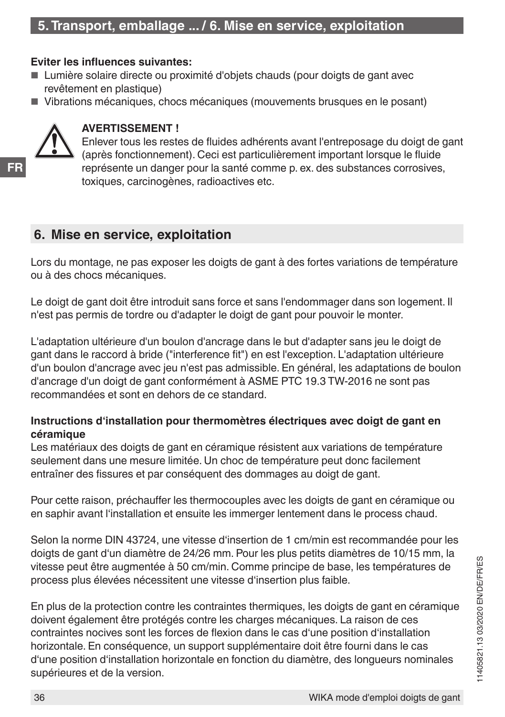#### <span id="page-35-0"></span>**Eviter les influences suivantes:**

- Lumière solaire directe ou proximité d'objets chauds (pour doigts de gant avec revêtement en plastique)
- Vibrations mécaniques, chocs mécaniques (mouvements brusques en le posant)



**FR**

#### **AVERTISSEMENT !**

Enlever tous les restes de fluides adhérents avant l'entreposage du doigt de gant (après fonctionnement). Ceci est particulièrement important lorsque le fluide représente un danger pour la santé comme p. ex. des substances corrosives, toxiques, carcinogènes, radioactives etc.

## **6. Mise en service, exploitation**

Lors du montage, ne pas exposer les doigts de gant à des fortes variations de température ou à des chocs mécaniques.

Le doigt de gant doit être introduit sans force et sans l'endommager dans son logement. Il n'est pas permis de tordre ou d'adapter le doigt de gant pour pouvoir le monter.

L'adaptation ultérieure d'un boulon d'ancrage dans le but d'adapter sans jeu le doigt de gant dans le raccord à bride ("interference fit") en est l'exception. L'adaptation ultérieure d'un boulon d'ancrage avec jeu n'est pas admissible. En général, les adaptations de boulon d'ancrage d'un doigt de gant conformément à ASME PTC 19.3 TW-2016 ne sont pas recommandées et sont en dehors de ce standard.

#### **Instructions d'installation pour thermomètres électriques avec doigt de gant en céramique**

Les matériaux des doigts de gant en céramique résistent aux variations de température seulement dans une mesure limitée. Un choc de température peut donc facilement entraîner des fissures et par conséquent des dommages au doigt de gant.

Pour cette raison, préchauffer les thermocouples avec les doigts de gant en céramique ou en saphir avant l'installation et ensuite les immerger lentement dans le process chaud.

Selon la norme DIN 43724, une vitesse d'insertion de 1 cm/min est recommandée pour les doigts de gant d'un diamètre de 24/26 mm. Pour les plus petits diamètres de 10/15 mm, la vitesse peut être augmentée à 50 cm/min. Comme principe de base, les températures de process plus élevées nécessitent une vitesse d'insertion plus faible.

En plus de la protection contre les contraintes thermiques, les doigts de gant en céramique doivent également être protégés contre les charges mécaniques. La raison de ces contraintes nocives sont les forces de flexion dans le cas d'une position d'installation horizontale. En conséquence, un support supplémentaire doit être fourni dans le cas d'une position d'installation horizontale en fonction du diamètre, des longueurs nominales supérieures et de la version.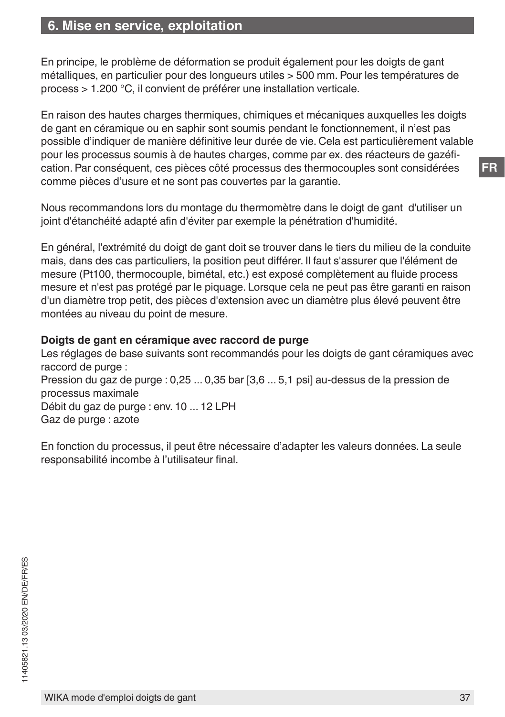## **6. Mise en service, exploitation**

En principe, le problème de déformation se produit également pour les doigts de gant métalliques, en particulier pour des longueurs utiles > 500 mm. Pour les températures de process > 1.200 °C, il convient de préférer une installation verticale.

En raison des hautes charges thermiques, chimiques et mécaniques auxquelles les doigts de gant en céramique ou en saphir sont soumis pendant le fonctionnement, il n'est pas possible d'indiquer de manière définitive leur durée de vie. Cela est particulièrement valable pour les processus soumis à de hautes charges, comme par ex. des réacteurs de gazéfication. Par conséquent, ces pièces côté processus des thermocouples sont considérées comme pièces d'usure et ne sont pas couvertes par la garantie.

Nous recommandons lors du montage du thermomètre dans le doigt de gant d'utiliser un joint d'étanchéité adapté afin d'éviter par exemple la pénétration d'humidité.

En général, l'extrémité du doigt de gant doit se trouver dans le tiers du milieu de la conduite mais, dans des cas particuliers, la position peut différer. Il faut s'assurer que l'élément de mesure (Pt100, thermocouple, bimétal, etc.) est exposé complètement au fluide process mesure et n'est pas protégé par le piquage. Lorsque cela ne peut pas être garanti en raison d'un diamètre trop petit, des pièces d'extension avec un diamètre plus élevé peuvent être montées au niveau du point de mesure.

#### **Doigts de gant en céramique avec raccord de purge**

Les réglages de base suivants sont recommandés pour les doigts de gant céramiques avec raccord de purge : Pression du gaz de purge : 0,25 ... 0,35 bar [3,6 ... 5,1 psi] au-dessus de la pression de processus maximale Débit du gaz de purge : env. 10 ... 12 LPH Gaz de purge : azote

En fonction du processus, il peut être nécessaire d'adapter les valeurs données. La seule responsabilité incombe à l'utilisateur final.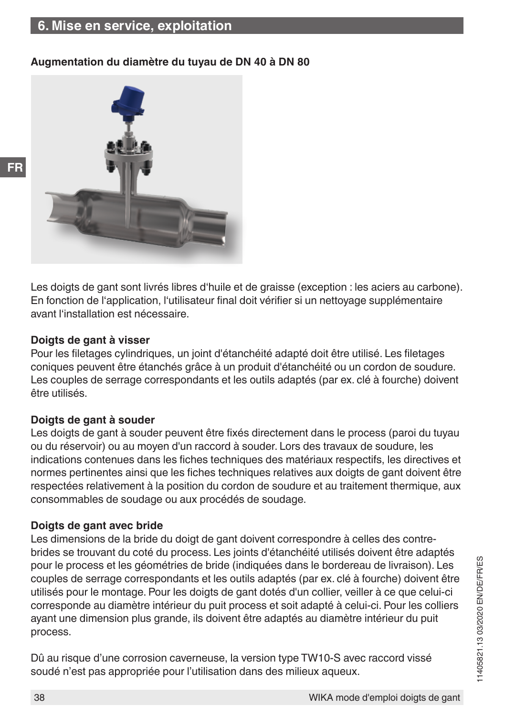## **6. Mise en service, exploitation**

#### **Augmentation du diamètre du tuyau de DN 40 à DN 80**



Les doigts de gant sont livrés libres d'huile et de graisse (exception : les aciers au carbone). En fonction de l'application, l'utilisateur final doit vérifier si un nettoyage supplémentaire avant l'installation est nécessaire.

#### **Doigts de gant à visser**

**FR**

Pour les filetages cylindriques, un joint d'étanchéité adapté doit être utilisé. Les filetages coniques peuvent être étanchés grâce à un produit d'étanchéité ou un cordon de soudure. Les couples de serrage correspondants et les outils adaptés (par ex. clé à fourche) doivent être utilisés.

#### **Doigts de gant à souder**

Les doigts de gant à souder peuvent être fixés directement dans le process (paroi du tuyau ou du réservoir) ou au moyen d'un raccord à souder. Lors des travaux de soudure, les indications contenues dans les fiches techniques des matériaux respectifs, les directives et normes pertinentes ainsi que les fiches techniques relatives aux doigts de gant doivent être respectées relativement à la position du cordon de soudure et au traitement thermique, aux consommables de soudage ou aux procédés de soudage.

#### **Doigts de gant avec bride**

Les dimensions de la bride du doigt de gant doivent correspondre à celles des contrebrides se trouvant du coté du process. Les joints d'étanchéité utilisés doivent être adaptés pour le process et les géométries de bride (indiquées dans le bordereau de livraison). Les couples de serrage correspondants et les outils adaptés (par ex. clé à fourche) doivent être utilisés pour le montage. Pour les doigts de gant dotés d'un collier, veiller à ce que celui-ci corresponde au diamètre intérieur du puit process et soit adapté à celui-ci. Pour les colliers ayant une dimension plus grande, ils doivent être adaptés au diamètre intérieur du puit process.

Dû au risque d'une corrosion caverneuse, la version type TW10-S avec raccord vissé soudé n'est pas appropriée pour l'utilisation dans des milieux aqueux.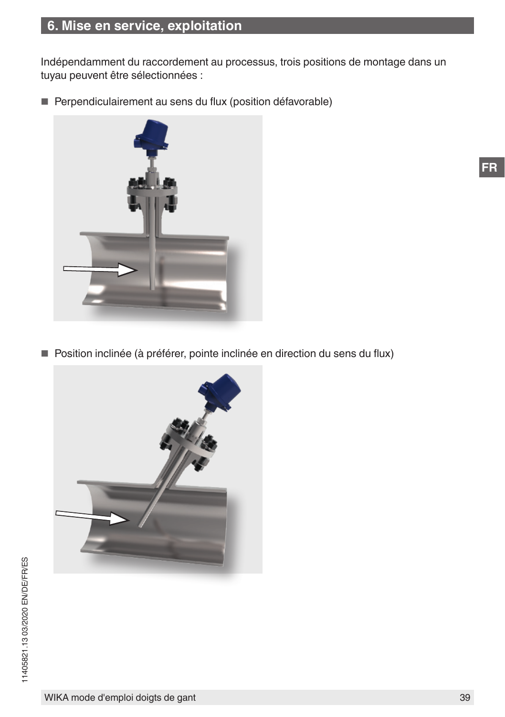Indépendamment du raccordement au processus, trois positions de montage dans un tuyau peuvent être sélectionnées :

■ Perpendiculairement au sens du flux (position défavorable)



■ Position inclinée (à préférer, pointe inclinée en direction du sens du flux)

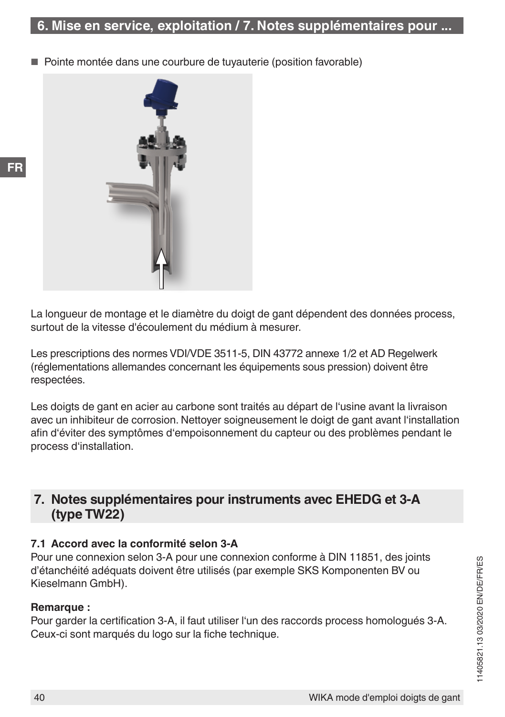<span id="page-39-0"></span>Pointe montée dans une courbure de tuyauterie (position favorable)



La longueur de montage et le diamètre du doigt de gant dépendent des données process, surtout de la vitesse d'écoulement du médium à mesurer.

Les prescriptions des normes VDI/VDE 3511-5, DIN 43772 annexe 1/2 et AD Regelwerk (réglementations allemandes concernant les équipements sous pression) doivent être respectées.

Les doigts de gant en acier au carbone sont traités au départ de l'usine avant la livraison avec un inhibiteur de corrosion. Nettoyer soigneusement le doigt de gant avant l'installation afin d'éviter des symptômes d'empoisonnement du capteur ou des problèmes pendant le process d'installation.

## **7. Notes supplémentaires pour instruments avec EHEDG et 3-A (type TW22)**

#### **7.1 Accord avec la conformité selon 3-A**

Pour une connexion selon 3-A pour une connexion conforme à DIN 11851, des joints d'étanchéité adéquats doivent être utilisés (par exemple SKS Komponenten BV ou Kieselmann GmbH).

#### **Remarque :**

Pour garder la certification 3-A, il faut utiliser l'un des raccords process homologués 3-A. Ceux-ci sont marqués du logo sur la fiche technique.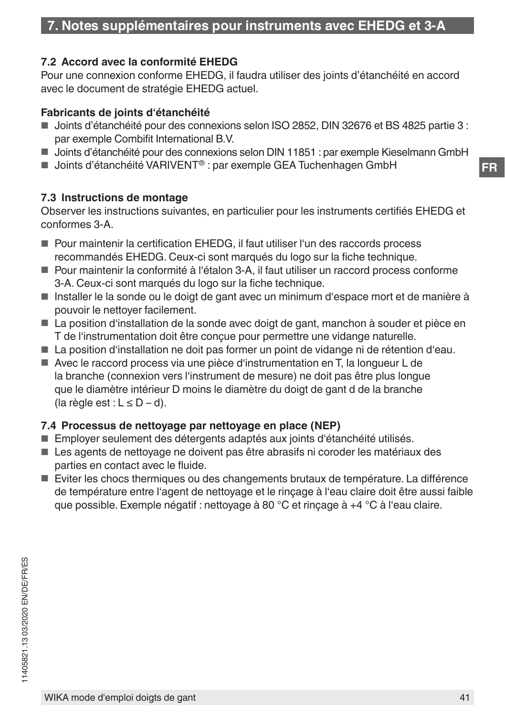#### <span id="page-40-0"></span>**7.2 Accord avec la conformité EHEDG**

Pour une connexion conforme EHEDG, il faudra utiliser des joints d'étanchéité en accord avec le document de stratégie EHEDG actuel.

#### **Fabricants de joints d'étanchéité**

- Joints d'étanchéité pour des connexions selon ISO 2852, DIN 32676 et BS 4825 partie 3 : par exemple Combifit International B.V.
- Joints d'étanchéité pour des connexions selon DIN 11851 : par exemple Kieselmann GmbH
- Joints d'étanchéité VARIVENT<sup>®</sup> : par exemple GEA Tuchenhagen GmbH

#### **7.3 Instructions de montage**

Observer les instructions suivantes, en particulier pour les instruments certifiés EHEDG et conformes 3-A.

- Pour maintenir la certification EHEDG, il faut utiliser l'un des raccords process recommandés EHEDG. Ceux-ci sont marqués du logo sur la fiche technique.
- Pour maintenir la conformité à l'étalon 3-A, il faut utiliser un raccord process conforme 3-A. Ceux-ci sont marqués du logo sur la fiche technique.
- Installer le la sonde ou le doigt de gant avec un minimum d'espace mort et de manière à pouvoir le nettoyer facilement.
- La position d'installation de la sonde avec doigt de gant, manchon à souder et pièce en T de l'instrumentation doit être conçue pour permettre une vidange naturelle.
- La position d'installation ne doit pas former un point de vidange ni de rétention d'eau.
- Avec le raccord process via une pièce d'instrumentation en T, la longueur L de la branche (connexion vers l'instrument de mesure) ne doit pas être plus longue que le diamètre intérieur D moins le diamètre du doigt de gant d de la branche (la règle est :  $L \le D - d$ ).

#### **7.4 Processus de nettoyage par nettoyage en place (NEP)**

- Employer seulement des détergents adaptés aux joints d'étanchéité utilisés.
- Les agents de nettoyage ne doivent pas être abrasifs ni coroder les matériaux des parties en contact avec le fluide.
- Eviter les chocs thermiques ou des changements brutaux de température. La différence de température entre l'agent de nettoyage et le rinçage à l'eau claire doit être aussi faible que possible. Exemple négatif : nettoyage à 80 °C et rinçage à +4 °C à l'eau claire.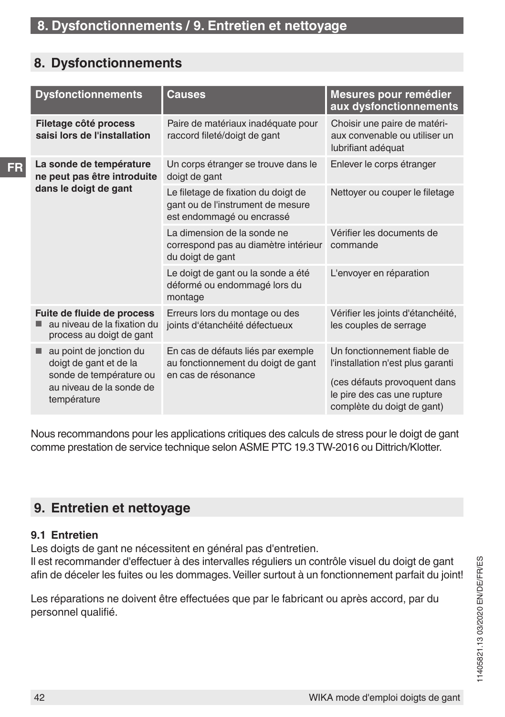## <span id="page-41-0"></span>**8. Dysfonctionnements**

**FR**

|  | <b>Dysfonctionnements</b>                                                                                                    | <b>Causes</b>                                                                                         | Mesures pour remédier<br>aux dysfonctionnements                                                                                                               |
|--|------------------------------------------------------------------------------------------------------------------------------|-------------------------------------------------------------------------------------------------------|---------------------------------------------------------------------------------------------------------------------------------------------------------------|
|  | Filetage côté process<br>saisi lors de l'installation                                                                        | Paire de matériaux inadéquate pour<br>raccord fileté/doigt de gant                                    | Choisir une paire de matéri-<br>aux convenable ou utiliser un<br>lubrifiant adéquat                                                                           |
|  | La sonde de température<br>ne peut pas être introduite                                                                       | Un corps étranger se trouve dans le<br>doigt de gant                                                  | Enlever le corps étranger                                                                                                                                     |
|  | dans le doigt de gant                                                                                                        | Le filetage de fixation du doigt de<br>gant ou de l'instrument de mesure<br>est endommagé ou encrassé | Nettoyer ou couper le filetage                                                                                                                                |
|  | Fuite de fluide de process<br>au niveau de la fixation du<br>process au doigt de gant                                        | La dimension de la sonde ne<br>correspond pas au diamètre intérieur<br>du doigt de gant               | Vérifier les documents de<br>commande                                                                                                                         |
|  |                                                                                                                              | Le doigt de gant ou la sonde a été<br>déformé ou endommagé lors du<br>montage                         | L'envoyer en réparation                                                                                                                                       |
|  |                                                                                                                              | Erreurs lors du montage ou des<br>joints d'étanchéité défectueux                                      | Vérifier les joints d'étanchéité,<br>les couples de serrage                                                                                                   |
|  | au point de jonction du<br>٠<br>doigt de gant et de la<br>sonde de température ou<br>au niveau de la sonde de<br>température | En cas de défauts liés par exemple<br>au fonctionnement du doigt de gant<br>en cas de résonance       | Un fonctionnement fiable de<br>l'installation n'est plus garanti<br>(ces défauts provoquent dans<br>le pire des cas une rupture<br>complète du doigt de gant) |

Nous recommandons pour les applications critiques des calculs de stress pour le doigt de gant comme prestation de service technique selon ASME PTC 19.3 TW-2016 ou Dittrich/Klotter.

## **9. Entretien et nettoyage**

#### **9.1 Entretien**

Les doigts de gant ne nécessitent en général pas d'entretien.

Il est recommander d'effectuer à des intervalles réguliers un contrôle visuel du doigt de gant afin de déceler les fuites ou les dommages. Veiller surtout à un fonctionnement parfait du joint!

Les réparations ne doivent être effectuées que par le fabricant ou après accord, par du personnel qualifié.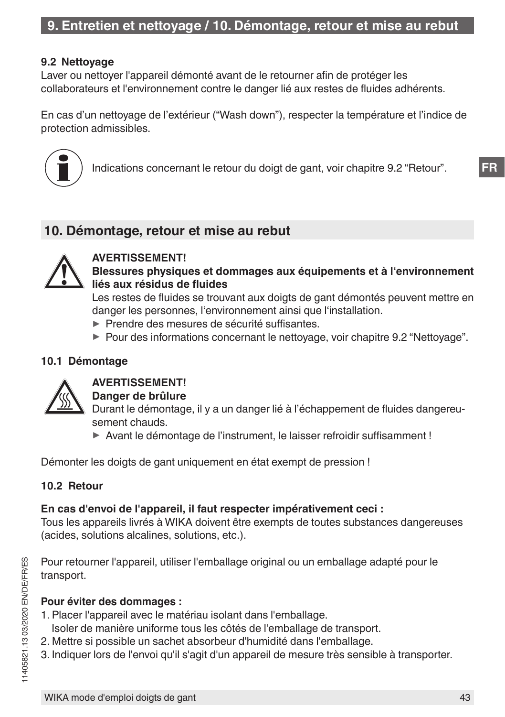## **9. Entretien et nettoyage / 10. Démontage, retour et mise au rebut**

#### <span id="page-42-0"></span>**9.2 Nettoyage**

Laver ou nettoyer l'appareil démonté avant de le retourner afin de protéger les collaborateurs et l'environnement contre le danger lié aux restes de fluides adhérents.

En cas d'un nettoyage de l'extérieur ("Wash down"), respecter la température et l'indice de protection admissibles.



Indications concernant le retour du doigt de gant, voir chapitre 9.2 "Retour".

## **10. Démontage, retour et mise au rebut**



#### **AVERTISSEMENT! Blessures physiques et dommages aux équipements et à l'environnement liés aux résidus de fluides**

Les restes de fluides se trouvant aux doigts de gant démontés peuvent mettre en danger les personnes, l'environnement ainsi que l'installation.

- ▶ Prendre des mesures de sécurité suffisantes.
- ▶ Pour des informations concernant le nettoyage, voir chapitre [9.2 "Nettoyage"](#page-42-0).

#### **10.1 Démontage**



## **AVERTISSEMENT!**

#### **Danger de brûlure**

Durant le démontage, il y a un danger lié à l'échappement de fluides dangereusement chauds.

▶ Avant le démontage de l'instrument, le laisser refroidir suffisamment !

Démonter les doigts de gant uniquement en état exempt de pression !

#### **10.2 Retour**

#### **En cas d'envoi de l'appareil, il faut respecter impérativement ceci :**

Tous les appareils livrés à WIKA doivent être exempts de toutes substances dangereuses (acides, solutions alcalines, solutions, etc.).

Pour retourner l'appareil, utiliser l'emballage original ou un emballage adapté pour le transport.

#### **Pour éviter des dommages :**

- 1. Placer l'appareil avec le matériau isolant dans l'emballage.
	- Isoler de manière uniforme tous les côtés de l'emballage de transport.
- 2. Mettre si possible un sachet absorbeur d'humidité dans l'emballage.
- 3. Indiquer lors de l'envoi qu'il s'agit d'un appareil de mesure très sensible à transporter.

**FR**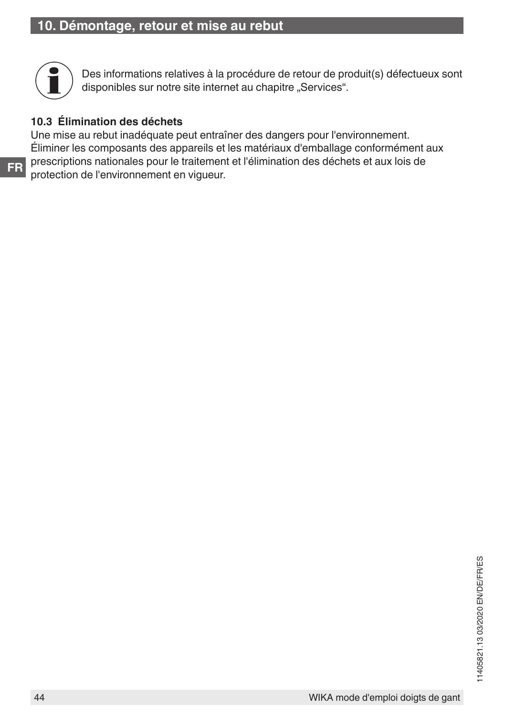

Des informations relatives à la procédure de retour de produit(s) défectueux sont disponibles sur notre site internet au chapitre "Services".

#### **10.3 Élimination des déchets**

Une mise au rebut inadéquate peut entraîner des dangers pour l'environnement. Éliminer les composants des appareils et les matériaux d'emballage conformément aux prescriptions nationales pour le traitement et l'élimination des déchets et aux lois de protection de l'environnement en vigueur.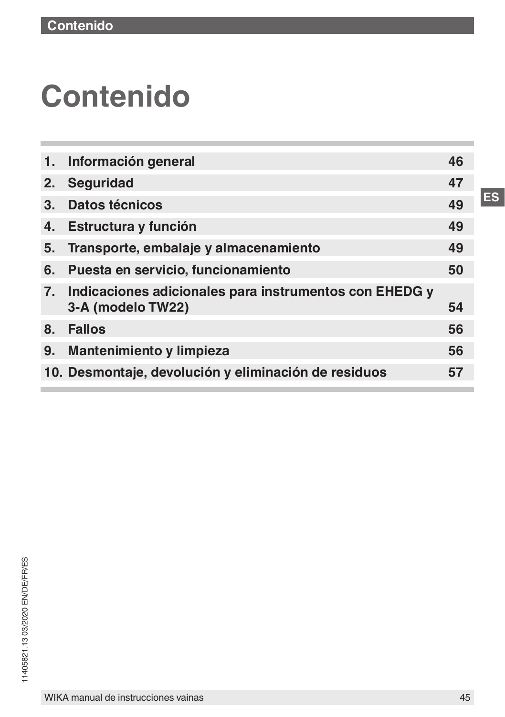# **Contenido**

| 1.             | Información general                                                            | 46 |
|----------------|--------------------------------------------------------------------------------|----|
| 2.             | <b>Seguridad</b>                                                               | 47 |
| 3 <sub>1</sub> | Datos técnicos                                                                 | 49 |
| 4.             | Estructura y función                                                           | 49 |
| 5.             | Transporte, embalaje y almacenamiento                                          | 49 |
| 6.             | Puesta en servicio, funcionamiento                                             | 50 |
|                | 7. Indicaciones adicionales para instrumentos con EHEDG y<br>3-A (modelo TW22) | 54 |
| 8 <sub>1</sub> | <b>Fallos</b>                                                                  | 56 |
| 9.             | Mantenimiento y limpieza                                                       | 56 |
|                | 10. Desmontaje, devolución y eliminación de residuos                           | 57 |
|                |                                                                                |    |

**ES**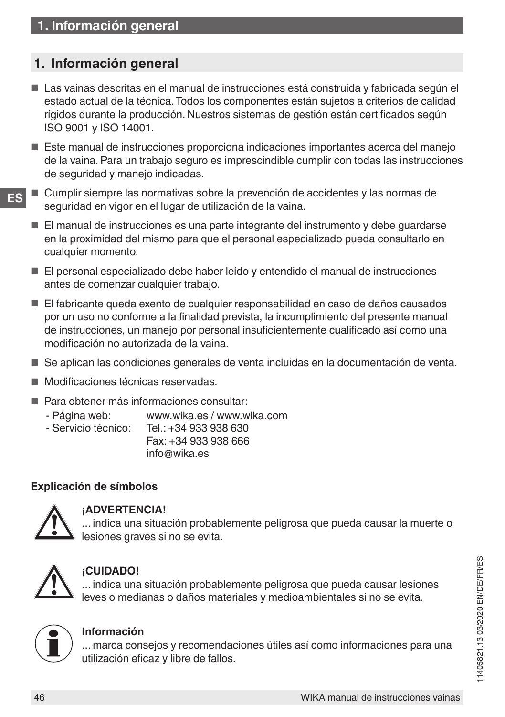## <span id="page-45-0"></span>**1. Información general**

- Las vainas descritas en el manual de instrucciones está construida y fabricada según el estado actual de la técnica. Todos los componentes están sujetos a criterios de calidad rígidos durante la producción. Nuestros sistemas de gestión están certificados según ISO 9001 y ISO 14001.
- Este manual de instrucciones proporciona indicaciones importantes acerca del manejo de la vaina. Para un trabajo seguro es imprescindible cumplir con todas las instrucciones de seguridad y manejo indicadas.
- **ES** Cumplir siempre las normativas sobre la prevención de accidentes y las normas de seguridad en vigor en el lugar de utilización de la vaina.
	- El manual de instrucciones es una parte integrante del instrumento y debe guardarse en la proximidad del mismo para que el personal especializado pueda consultarlo en cualquier momento.
	- El personal especializado debe haber leído y entendido el manual de instrucciones antes de comenzar cualquier trabajo.
	- El fabricante queda exento de cualquier responsabilidad en caso de daños causados por un uso no conforme a la finalidad prevista, la incumplimiento del presente manual de instrucciones, un manejo por personal insuficientemente cualificado así como una modificación no autorizada de la vaina.
	- Se aplican las condiciones generales de venta incluidas en la documentación de venta.
	- Modificaciones técnicas reservadas.
	- Para obtener más informaciones consultar:
		- Página web: www.wika.es / www.wika.com<br>- Servicio técnico: Tel : +34.933.938.630
			- Servicio técnico: Tel.: +34 933 938 630 Fax: +34 933 938 666

info@wika.es

#### **Explicación de símbolos**



#### **¡ADVERTENCIA!**

... indica una situación probablemente peligrosa que pueda causar la muerte o lesiones graves si no se evita.



#### **¡CUIDADO!**

... indica una situación probablemente peligrosa que pueda causar lesiones leves o medianas o daños materiales y medioambientales si no se evita.



#### **Información**

... marca consejos y recomendaciones útiles así como informaciones para una utilización eficaz y libre de fallos.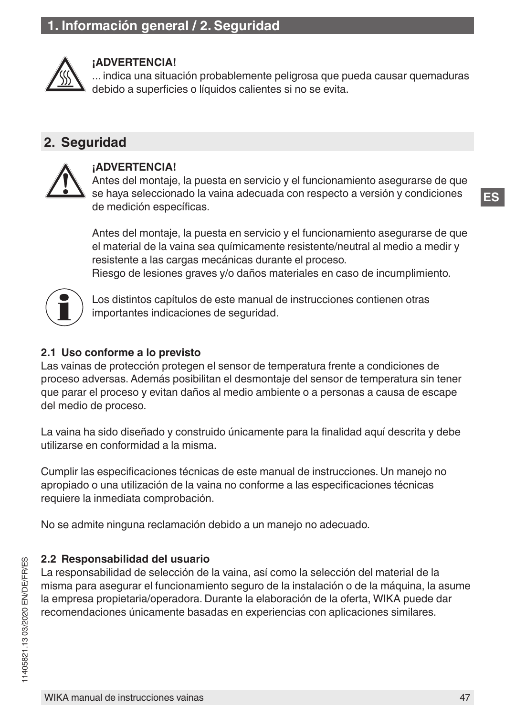<span id="page-46-0"></span>

#### **¡ADVERTENCIA!**

... indica una situación probablemente peligrosa que pueda causar quemaduras debido a superficies o líquidos calientes si no se evita.

## **2. Seguridad**



#### **¡ADVERTENCIA!**

Antes del montaje, la puesta en servicio y el funcionamiento asegurarse de que se haya seleccionado la vaina adecuada con respecto a versión y condiciones de medición específicas.

Antes del montaje, la puesta en servicio y el funcionamiento asegurarse de que el material de la vaina sea químicamente resistente/neutral al medio a medir y resistente a las cargas mecánicas durante el proceso. Riesgo de lesiones graves y/o daños materiales en caso de incumplimiento.



Los distintos capítulos de este manual de instrucciones contienen otras importantes indicaciones de seguridad.

#### **2.1 Uso conforme a lo previsto**

Las vainas de protección protegen el sensor de temperatura frente a condiciones de proceso adversas. Además posibilitan el desmontaje del sensor de temperatura sin tener que parar el proceso y evitan daños al medio ambiente o a personas a causa de escape del medio de proceso.

La vaina ha sido diseñado y construido únicamente para la finalidad aquí descrita y debe utilizarse en conformidad a la misma.

Cumplir las especificaciones técnicas de este manual de instrucciones. Un manejo no apropiado o una utilización de la vaina no conforme a las especificaciones técnicas requiere la inmediata comprobación.

No se admite ninguna reclamación debido a un manejo no adecuado.

#### **2.2 Responsabilidad del usuario**

La responsabilidad de selección de la vaina, así como la selección del material de la misma para asegurar el funcionamiento seguro de la instalación o de la máquina, la asume la empresa propietaria/operadora. Durante la elaboración de la oferta, WIKA puede dar recomendaciones únicamente basadas en experiencias con aplicaciones similares.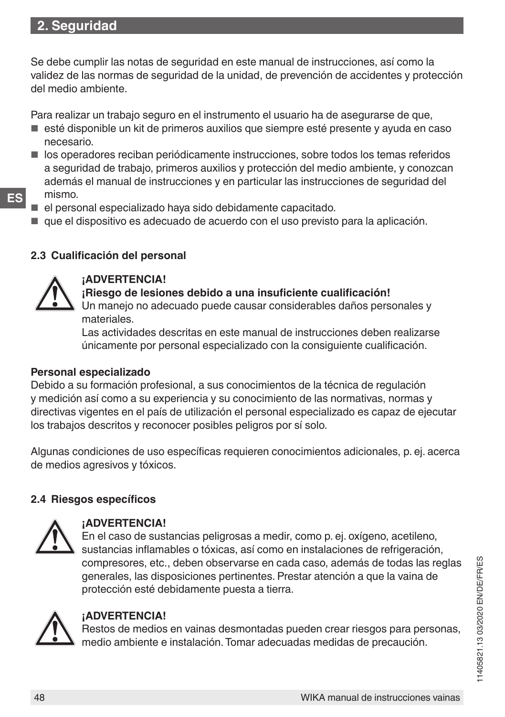Se debe cumplir las notas de seguridad en este manual de instrucciones, así como la validez de las normas de seguridad de la unidad, de prevención de accidentes y protección del medio ambiente.

Para realizar un trabajo seguro en el instrumento el usuario ha de asegurarse de que,

- esté disponible un kit de primeros auxilios que siempre esté presente y ayuda en caso necesario.
- los operadores reciban periódicamente instrucciones, sobre todos los temas referidos a seguridad de trabajo, primeros auxilios y protección del medio ambiente, y conozcan además el manual de instrucciones y en particular las instrucciones de seguridad del mismo.
- 

**ES**

- el personal especializado hava sido debidamente capacitado.
- que el dispositivo es adecuado de acuerdo con el uso previsto para la aplicación.

#### **2.3 Cualificación del personal**



#### **¡ADVERTENCIA!**

#### **¡Riesgo de lesiones debido a una insuficiente cualificación!**

Un manejo no adecuado puede causar considerables daños personales y materiales.

Las actividades descritas en este manual de instrucciones deben realizarse únicamente por personal especializado con la consiguiente cualificación.

#### **Personal especializado**

Debido a su formación profesional, a sus conocimientos de la técnica de regulación y medición así como a su experiencia y su conocimiento de las normativas, normas y directivas vigentes en el país de utilización el personal especializado es capaz de ejecutar los trabajos descritos y reconocer posibles peligros por sí solo.

Algunas condiciones de uso específicas requieren conocimientos adicionales, p. ej. acerca de medios agresivos y tóxicos.

#### **2.4 Riesgos específicos**



#### **¡ADVERTENCIA!**

En el caso de sustancias peligrosas a medir, como p. ej. oxígeno, acetileno, sustancias inflamables o tóxicas, así como en instalaciones de refrigeración, compresores, etc., deben observarse en cada caso, además de todas las reglas generales, las disposiciones pertinentes. Prestar atención a que la vaina de protección esté debidamente puesta a tierra.



#### **¡ADVERTENCIA!**

Restos de medios en vainas desmontadas pueden crear riesgos para personas, medio ambiente e instalación. Tomar adecuadas medidas de precaución.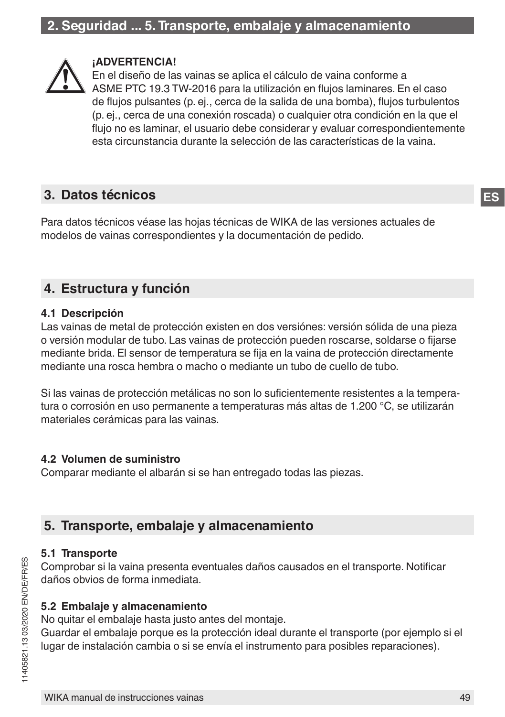<span id="page-48-0"></span>

#### **¡ADVERTENCIA!**

En el diseño de las vainas se aplica el cálculo de vaina conforme a ASME PTC 19.3 TW-2016 para la utilización en flujos laminares. En el caso de flujos pulsantes (p. ej., cerca de la salida de una bomba), flujos turbulentos (p. ej., cerca de una conexión roscada) o cualquier otra condición en la que el flujo no es laminar, el usuario debe considerar y evaluar correspondientemente esta circunstancia durante la selección de las características de la vaina.

## **3. Datos técnicos**

Para datos técnicos véase las hojas técnicas de WIKA de las versiones actuales de modelos de vainas correspondientes y la documentación de pedido.

## **4. Estructura y función**

#### **4.1 Descripción**

Las vainas de metal de protección existen en dos versiónes: versión sólida de una pieza o versión modular de tubo. Las vainas de protección pueden roscarse, soldarse o fijarse mediante brida. El sensor de temperatura se fija en la vaina de protección directamente mediante una rosca hembra o macho o mediante un tubo de cuello de tubo.

Si las vainas de protección metálicas no son lo suficientemente resistentes a la temperatura o corrosión en uso permanente a temperaturas más altas de 1.200 °C, se utilizarán materiales cerámicas para las vainas.

#### **4.2 Volumen de suministro**

Comparar mediante el albarán si se han entregado todas las piezas.

## **5. Transporte, embalaje y almacenamiento**

#### **5.1 Transporte**

Comprobar si la vaina presenta eventuales daños causados en el transporte. Notificar daños obvios de forma inmediata.

#### **5.2 Embalaje y almacenamiento**

No quitar el embalaje hasta justo antes del montaje.

Guardar el embalaje porque es la protección ideal durante el transporte (por ejemplo si el lugar de instalación cambia o si se envía el instrumento para posibles reparaciones).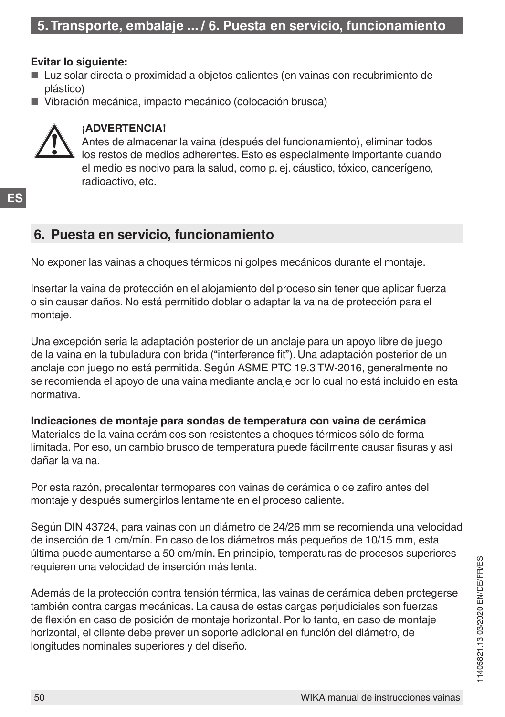#### <span id="page-49-0"></span>**Evitar lo siguiente:**

- Luz solar directa o proximidad a objetos calientes (en vainas con recubrimiento de plástico)
- Vibración mecánica, impacto mecánico (colocación brusca)



#### **¡ADVERTENCIA!**

Antes de almacenar la vaina (después del funcionamiento), eliminar todos los restos de medios adherentes. Esto es especialmente importante cuando el medio es nocivo para la salud, como p. ej. cáustico, tóxico, cancerígeno, radioactivo, etc.

## **6. Puesta en servicio, funcionamiento**

No exponer las vainas a choques térmicos ni golpes mecánicos durante el montaje.

Insertar la vaina de protección en el alojamiento del proceso sin tener que aplicar fuerza o sin causar daños. No está permitido doblar o adaptar la vaina de protección para el montaje.

Una excepción sería la adaptación posterior de un anclaje para un apoyo libre de juego de la vaina en la tubuladura con brida ("interference fit"). Una adaptación posterior de un anclaje con juego no está permitida. Según ASME PTC 19.3 TW-2016, generalmente no se recomienda el apoyo de una vaina mediante anclaje por lo cual no está incluido en esta normativa.

**Indicaciones de montaje para sondas de temperatura con vaina de cerámica** Materiales de la vaina cerámicos son resistentes a choques térmicos sólo de forma limitada. Por eso, un cambio brusco de temperatura puede fácilmente causar fisuras y así dañar la vaina.

Por esta razón, precalentar termopares con vainas de cerámica o de zafiro antes del montaje y después sumergirlos lentamente en el proceso caliente.

Según DIN 43724, para vainas con un diámetro de 24/26 mm se recomienda una velocidad de inserción de 1 cm/mín. En caso de los diámetros más pequeños de 10/15 mm, esta última puede aumentarse a 50 cm/mín. En principio, temperaturas de procesos superiores requieren una velocidad de inserción más lenta.

Además de la protección contra tensión térmica, las vainas de cerámica deben protegerse también contra cargas mecánicas. La causa de estas cargas perjudiciales son fuerzas de flexión en caso de posición de montaje horizontal. Por lo tanto, en caso de montaje horizontal, el cliente debe prever un soporte adicional en función del diámetro, de longitudes nominales superiores y del diseño.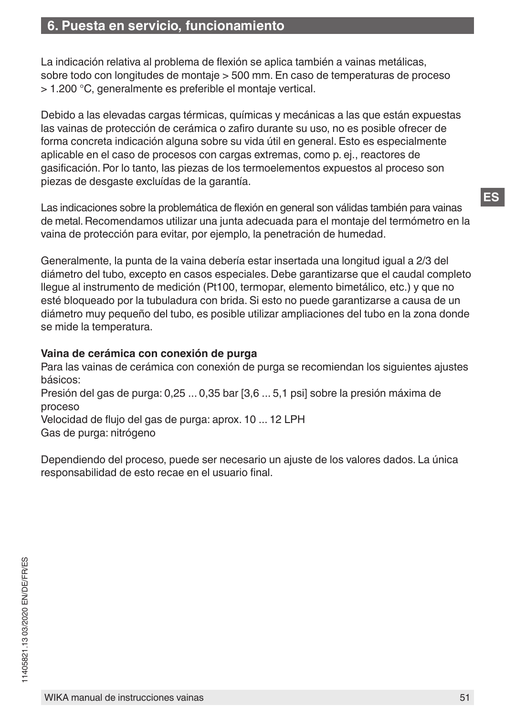## **6. Puesta en servicio, funcionamiento**

La indicación relativa al problema de flexión se aplica también a vainas metálicas, sobre todo con longitudes de montaje > 500 mm. En caso de temperaturas de proceso > 1.200 °C, generalmente es preferible el montaje vertical.

Debido a las elevadas cargas térmicas, químicas y mecánicas a las que están expuestas las vainas de protección de cerámica o zafiro durante su uso, no es posible ofrecer de forma concreta indicación alguna sobre su vida útil en general. Esto es especialmente aplicable en el caso de procesos con cargas extremas, como p. ej., reactores de gasificación. Por lo tanto, las piezas de los termoelementos expuestos al proceso son piezas de desgaste excluídas de la garantía.

Las indicaciones sobre la problemática de flexión en general son válidas también para vainas de metal. Recomendamos utilizar una junta adecuada para el montaje del termómetro en la vaina de protección para evitar, por ejemplo, la penetración de humedad.

Generalmente, la punta de la vaina debería estar insertada una longitud igual a 2/3 del diámetro del tubo, excepto en casos especiales. Debe garantizarse que el caudal completo llegue al instrumento de medición (Pt100, termopar, elemento bimetálico, etc.) y que no esté bloqueado por la tubuladura con brida. Si esto no puede garantizarse a causa de un diámetro muy pequeño del tubo, es posible utilizar ampliaciones del tubo en la zona donde se mide la temperatura.

#### **Vaina de cerámica con conexión de purga**

Para las vainas de cerámica con conexión de purga se recomiendan los siguientes ajustes básicos:

Presión del gas de purga: 0,25 ... 0,35 bar [3,6 ... 5,1 psi] sobre la presión máxima de proceso

Velocidad de flujo del gas de purga: aprox. 10 ... 12 LPH Gas de purga: nitrógeno

Dependiendo del proceso, puede ser necesario un ajuste de los valores dados. La única responsabilidad de esto recae en el usuario final.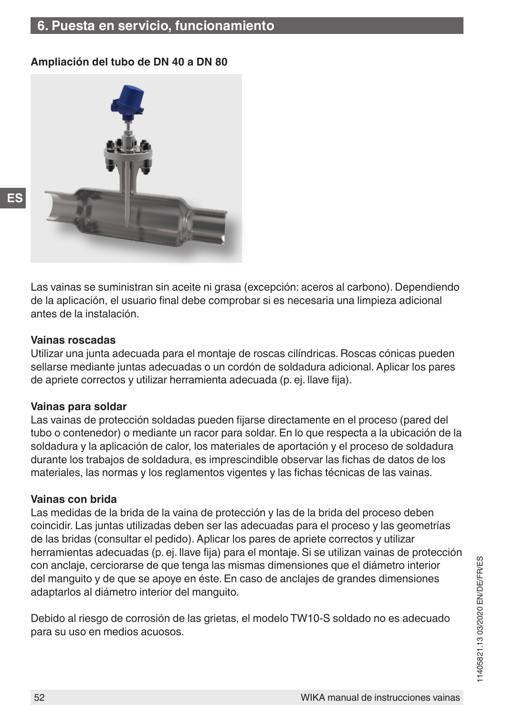## **6. Puesta en servicio, funcionamiento**

#### **Ampliación del tubo de DN 40 a DN 80**



Las vainas se suministran sin aceite ni grasa (excepción: aceros al carbono). Dependiendo de la aplicación, el usuario final debe comprobar si es necesaria una limpieza adicional antes de la instalación.

#### **Vainas roscadas**

Utilizar una junta adecuada para el montaje de roscas cilíndricas. Roscas cónicas pueden sellarse mediante juntas adecuadas o un cordón de soldadura adicional. Aplicar los pares de apriete correctos y utilizar herramienta adecuada (p. ej. llave fija).

#### **Vainas para soldar**

Las vainas de protección soldadas pueden fijarse directamente en el proceso (pared del tubo o contenedor) o mediante un racor para soldar. En lo que respecta a la ubicación de la soldadura y la aplicación de calor, los materiales de aportación y el proceso de soldadura durante los trabajos de soldadura, es imprescindible observar las fichas de datos de los materiales, las normas y los reglamentos vigentes y las fichas técnicas de las vainas.

#### **Vainas con brida**

Las medidas de la brida de la vaina de protección y las de la brida del proceso deben coincidir. Las juntas utilizadas deben ser las adecuadas para el proceso y las geometrías de las bridas (consultar el pedido). Aplicar los pares de apriete correctos y utilizar herramientas adecuadas (p. ej. llave fija) para el montaje. Si se utilizan vainas de protección con anclaje, cerciorarse de que tenga las mismas dimensiones que el diámetro interior del manguito y de que se apoye en éste. En caso de anclajes de grandes dimensiones adaptarlos al diámetro interior del manguito.

Debido al riesgo de corrosión de las grietas, el modelo TW10-S soldado no es adecuado para su uso en medios acuosos.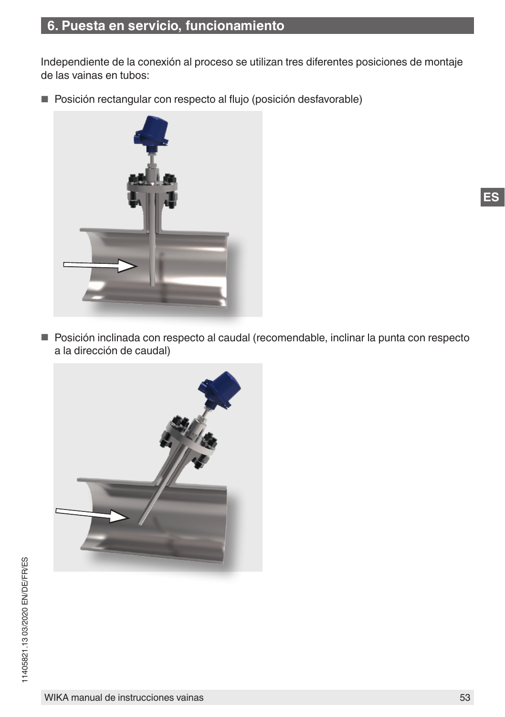## **6. Puesta en servicio, funcionamiento**

Independiente de la conexión al proceso se utilizan tres diferentes posiciones de montaje de las vainas en tubos:

■ Posición rectangular con respecto al flujo (posición desfavorable)



■ Posición inclinada con respecto al caudal (recomendable, inclinar la punta con respecto a la dirección de caudal)

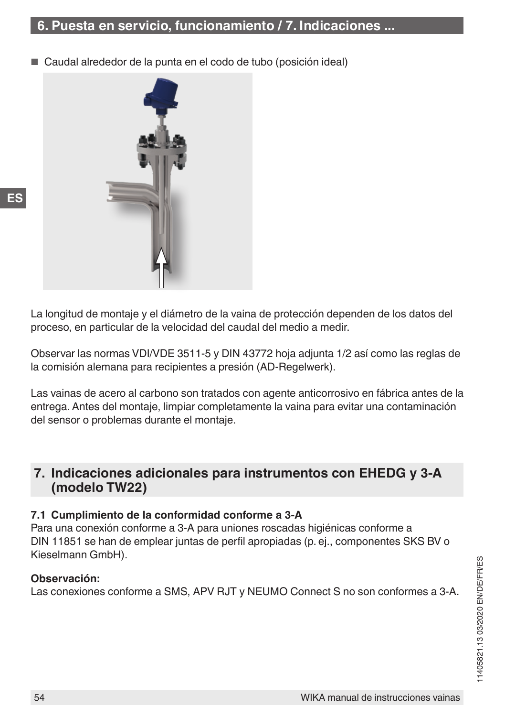<span id="page-53-0"></span>Caudal alrededor de la punta en el codo de tubo (posición ideal)



**ES**

La longitud de montaje y el diámetro de la vaina de protección dependen de los datos del proceso, en particular de la velocidad del caudal del medio a medir.

Observar las normas VDI/VDE 3511-5 y DIN 43772 hoja adjunta 1/2 así como las reglas de la comisión alemana para recipientes a presión (AD-Regelwerk).

Las vainas de acero al carbono son tratados con agente anticorrosivo en fábrica antes de la entrega. Antes del montaje, limpiar completamente la vaina para evitar una contaminación del sensor o problemas durante el montaje.

## **7. Indicaciones adicionales para instrumentos con EHEDG y 3-A (modelo TW22)**

#### **7.1 Cumplimiento de la conformidad conforme a 3-A**

Para una conexión conforme a 3-A para uniones roscadas higiénicas conforme a DIN 11851 se han de emplear juntas de perfil apropiadas (p. ej., componentes SKS BV o Kieselmann GmbH).

#### **Observación:**

Las conexiones conforme a SMS, APV RJT y NEUMO Connect S no son conformes a 3-A.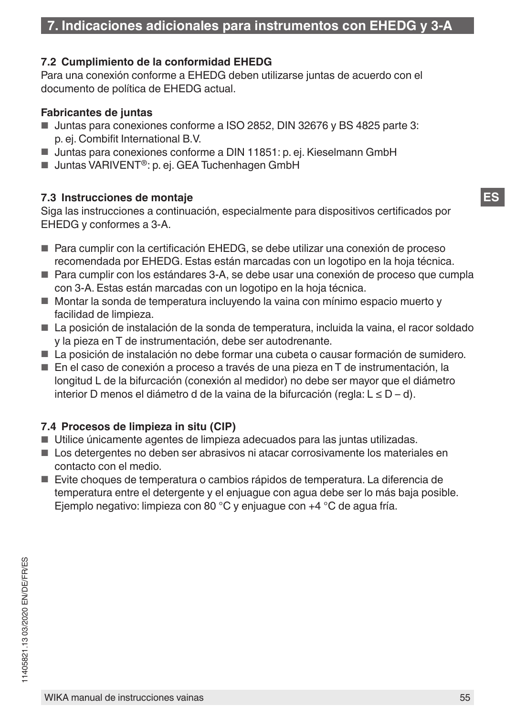#### **7.2 Cumplimiento de la conformidad EHEDG**

Para una conexión conforme a EHEDG deben utilizarse juntas de acuerdo con el documento de política de EHEDG actual.

#### **Fabricantes de juntas**

- Juntas para conexiones conforme a ISO 2852, DIN 32676 v BS 4825 parte 3: p. ej. Combifit International B.V.
- Juntas para conexiones conforme a DIN 11851: p. ej. Kieselmann GmbH
- Juntas VARIVENT<sup>®</sup>: p. ej. GEA Tuchenhagen GmbH

#### **7.3 Instrucciones de montaje**

Siga las instrucciones a continuación, especialmente para dispositivos certificados por EHEDG y conformes a 3-A.

- Para cumplir con la certificación EHEDG, se debe utilizar una conexión de proceso recomendada por EHEDG. Estas están marcadas con un logotipo en la hoja técnica.
- Para cumplir con los estándares 3-A, se debe usar una conexión de proceso que cumpla con 3-A. Estas están marcadas con un logotipo en la hoja técnica.
- Montar la sonda de temperatura incluyendo la vaina con mínimo espacio muerto y facilidad de limpieza.
- La posición de instalación de la sonda de temperatura, incluida la vaina, el racor soldado y la pieza en T de instrumentación, debe ser autodrenante.
- La posición de instalación no debe formar una cubeta o causar formación de sumidero.
- En el caso de conexión a proceso a través de una pieza en T de instrumentación, la longitud L de la bifurcación (conexión al medidor) no debe ser mayor que el diámetro interior D menos el diámetro d de la vaina de la bifurcación (regla: L ≤ D – d).

#### **7.4 Procesos de limpieza in situ (CIP)**

- Utilice únicamente agentes de limpieza adecuados para las juntas utilizadas.
- Los detergentes no deben ser abrasivos ni atacar corrosivamente los materiales en contacto con el medio.
- Evite choques de temperatura o cambios rápidos de temperatura. La diferencia de temperatura entre el detergente y el enjuague con agua debe ser lo más baja posible. Ejemplo negativo: limpieza con 80 °C y enjuague con +4 °C de agua fría.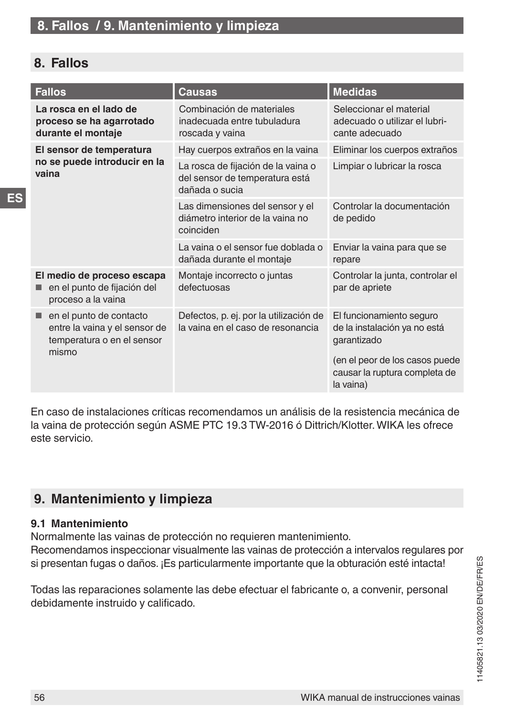## <span id="page-55-0"></span>**8. Fallos**

| <b>Fallos</b>                                                                                   | Causas                                                                                 | <b>Medidas</b>                                                                                                                                          |
|-------------------------------------------------------------------------------------------------|----------------------------------------------------------------------------------------|---------------------------------------------------------------------------------------------------------------------------------------------------------|
| La rosca en el lado de<br>proceso se ha agarrotado<br>durante el montaje                        | Combinación de materiales<br>inadecuada entre tubuladura<br>roscada y vaina            | Seleccionar el material<br>adecuado o utilizar el lubri-<br>cante adecuado                                                                              |
| El sensor de temperatura                                                                        | Hay cuerpos extraños en la vaina                                                       | Eliminar los cuerpos extraños                                                                                                                           |
| no se puede introducir en la<br>vaina                                                           | La rosca de fijación de la vaina o<br>del sensor de temperatura está<br>dañada o sucia | Limpiar o lubricar la rosca                                                                                                                             |
|                                                                                                 | Las dimensiones del sensor y el<br>diámetro interior de la vaina no<br>coinciden       | Controlar la documentación<br>de pedido                                                                                                                 |
|                                                                                                 | La vaina o el sensor fue doblada o<br>dañada durante el montaje                        | Enviar la vaina para que se<br>repare                                                                                                                   |
| El medio de proceso escapa<br>en el punto de fijación del<br>proceso a la vaina                 | Montaje incorrecto o juntas<br>defectuosas                                             | Controlar la junta, controlar el<br>par de apriete                                                                                                      |
| en el punto de contacto<br>entre la vaina y el sensor de<br>temperatura o en el sensor<br>mismo | Defectos, p. ej. por la utilización de<br>la vaina en el caso de resonancia            | El funcionamiento seguro<br>de la instalación ya no está<br>garantizado<br>(en el peor de los casos puede<br>causar la ruptura completa de<br>la vaina) |

En caso de instalaciones críticas recomendamos un análisis de la resistencia mecánica de la vaina de protección según ASME PTC 19.3 TW-2016 ó Dittrich/Klotter. WIKA les ofrece este servicio.

## **9. Mantenimiento y limpieza**

#### **9.1 Mantenimiento**

Normalmente las vainas de protección no requieren mantenimiento. Recomendamos inspeccionar visualmente las vainas de protección a intervalos regulares por si presentan fugas o daños. ¡Es particularmente importante que la obturación esté intacta!

Todas las reparaciones solamente las debe efectuar el fabricante o, a convenir, personal debidamente instruido y calificado.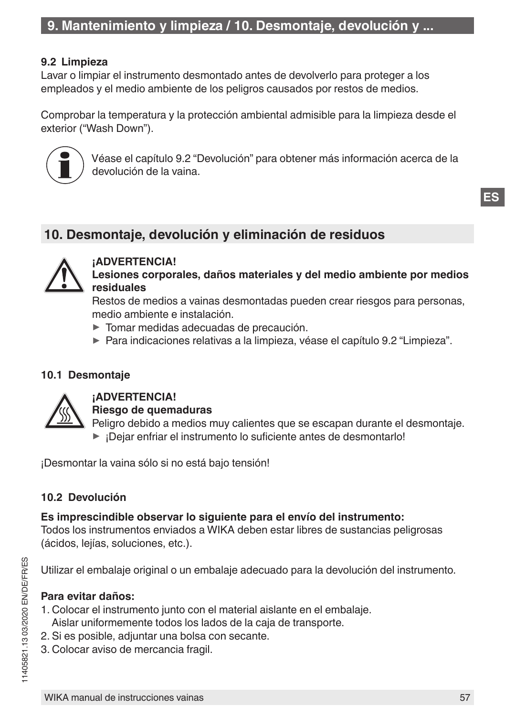#### <span id="page-56-1"></span><span id="page-56-0"></span>**9.2 Limpieza**

Lavar o limpiar el instrumento desmontado antes de devolverlo para proteger a los empleados y el medio ambiente de los peligros causados por restos de medios.

Comprobar la temperatura y la protección ambiental admisible para la limpieza desde el exterior ("Wash Down").



Véase el capítulo 9.2 "Devolución" para obtener más información acerca de la devolución de la vaina.

## **10. Desmontaje, devolución y eliminación de residuos**



#### **¡ADVERTENCIA! Lesiones corporales, daños materiales y del medio ambiente por medios residuales**

Restos de medios a vainas desmontadas pueden crear riesgos para personas, medio ambiente e instalación.

- ▶ Tomar medidas adecuadas de precaución.
- ▶ Para indicaciones relativas a la limpieza, véase el capítulo [9.2 "Limpieza".](#page-56-1)

#### **10.1 Desmontaje**



#### **¡ADVERTENCIA!**

**Riesgo de quemaduras**

Peligro debido a medios muy calientes que se escapan durante el desmontaje. ▶ ¡Dejar enfriar el instrumento lo suficiente antes de desmontarlo!

¡Desmontar la vaina sólo si no está bajo tensión!

#### **10.2 Devolución**

#### **Es imprescindible observar lo siguiente para el envío del instrumento:**

Todos los instrumentos enviados a WIKA deben estar libres de sustancias peligrosas (ácidos, lejías, soluciones, etc.).

Utilizar el embalaje original o un embalaje adecuado para la devolución del instrumento.

#### **Para evitar daños:**

- 1. Colocar el instrumento junto con el material aislante en el embalaje.
- Aislar uniformemente todos los lados de la caja de transporte.
- 2. Si es posible, adjuntar una bolsa con secante.
- 3. Colocar aviso de mercancia fragil.

**ES**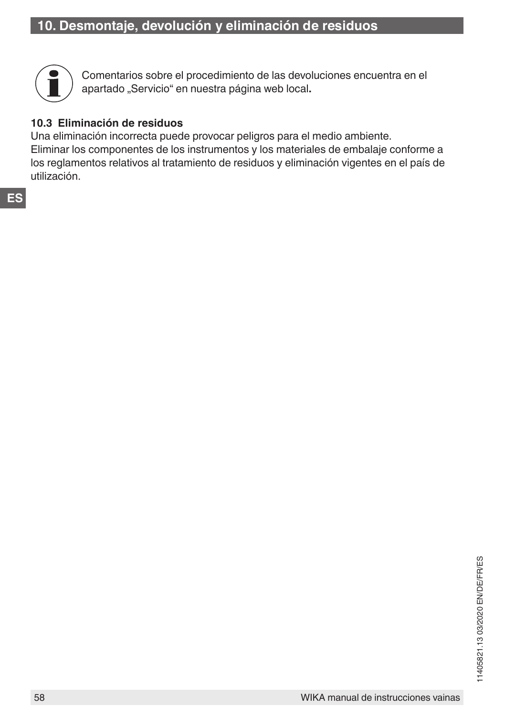

Comentarios sobre el procedimiento de las devoluciones encuentra en el apartado "Servicio" en nuestra página web local.

#### **10.3 Eliminación de residuos**

Una eliminación incorrecta puede provocar peligros para el medio ambiente. Eliminar los componentes de los instrumentos y los materiales de embalaje conforme a los reglamentos relativos al tratamiento de residuos y eliminación vigentes en el país de utilización.